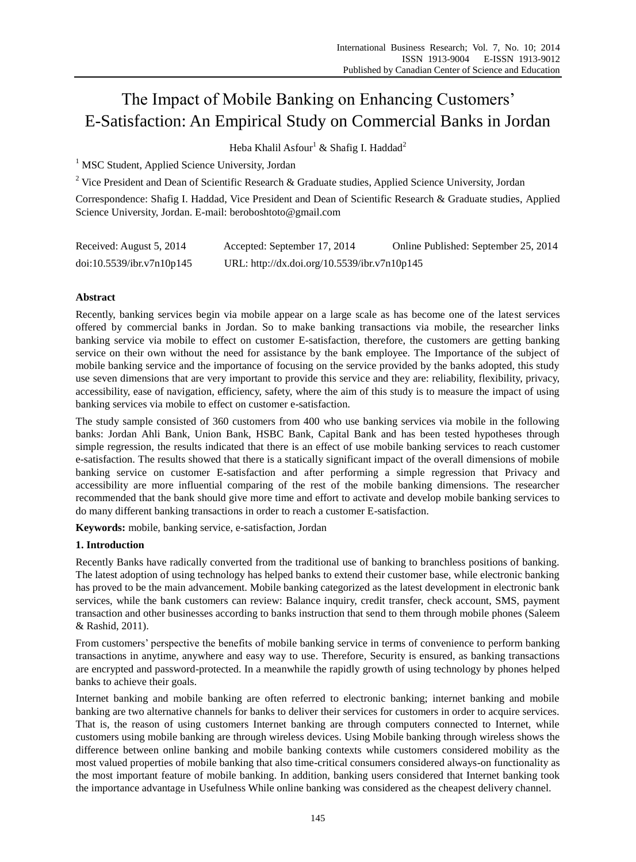# The Impact of Mobile Banking on Enhancing Customers' E-Satisfaction: An Empirical Study on Commercial Banks in Jordan

Heba Khalil Asfour<sup>1</sup> & Shafig I. Haddad<sup>2</sup>

<sup>1</sup> MSC Student, Applied Science University, Jordan

<sup>2</sup> Vice President and Dean of Scientific Research & Graduate studies, Applied Science University, Jordan

Correspondence: Shafig I. Haddad, Vice President and Dean of Scientific Research & Graduate studies, Applied Science University, Jordan. E-mail: beroboshtoto@gmail.com

| Received: August 5, 2014  | Accepted: September 17, 2014                 | Online Published: September 25, 2014 |
|---------------------------|----------------------------------------------|--------------------------------------|
| doi:10.5539/ibr.v7n10p145 | URL: http://dx.doi.org/10.5539/ibr.v7n10p145 |                                      |

# **Abstract**

Recently, banking services begin via mobile appear on a large scale as has become one of the latest services offered by commercial banks in Jordan. So to make banking transactions via mobile, the researcher links banking service via mobile to effect on customer E-satisfaction, therefore, the customers are getting banking service on their own without the need for assistance by the bank employee. The Importance of the subject of mobile banking service and the importance of focusing on the service provided by the banks adopted, this study use seven dimensions that are very important to provide this service and they are: reliability, flexibility, privacy, accessibility, ease of navigation, efficiency, safety, where the aim of this study is to measure the impact of using banking services via mobile to effect on customer e-satisfaction.

The study sample consisted of 360 customers from 400 who use banking services via mobile in the following banks: Jordan Ahli Bank, Union Bank, HSBC Bank, Capital Bank and has been tested hypotheses through simple regression, the results indicated that there is an effect of use mobile banking services to reach customer e-satisfaction. The results showed that there is a statically significant impact of the overall dimensions of mobile banking service on customer E-satisfaction and after performing a simple regression that Privacy and accessibility are more influential comparing of the rest of the mobile banking dimensions. The researcher recommended that the bank should give more time and effort to activate and develop mobile banking services to do many different banking transactions in order to reach a customer E-satisfaction.

**Keywords:** mobile, banking service, e-satisfaction, Jordan

# **1. Introduction**

Recently Banks have radically converted from the traditional use of banking to branchless positions of banking. The latest adoption of using technology has helped banks to extend their customer base, while electronic banking has proved to be the main advancement. Mobile banking categorized as the latest development in electronic bank services, while the bank customers can review: Balance inquiry, credit transfer, check account, SMS, payment transaction and other businesses according to banks instruction that send to them through mobile phones (Saleem & Rashid, 2011).

From customers' perspective the benefits of mobile banking service in terms of convenience to perform banking transactions in anytime, anywhere and easy way to use. Therefore, Security is ensured, as banking transactions are encrypted and password-protected. In a meanwhile the rapidly growth of using technology by phones helped banks to achieve their goals.

Internet banking and mobile banking are often referred to electronic banking; internet banking and mobile banking are two alternative channels for banks to deliver their services for customers in order to acquire services. That is, the reason of using customers Internet banking are through computers connected to Internet, while customers using mobile banking are through wireless devices. Using Mobile banking through wireless shows the difference between online banking and mobile banking contexts while customers considered mobility as the most valued properties of mobile banking that also time-critical consumers considered always-on functionality as the most important feature of mobile banking. In addition, banking users considered that Internet banking took the importance advantage in Usefulness While online banking was considered as the cheapest delivery channel.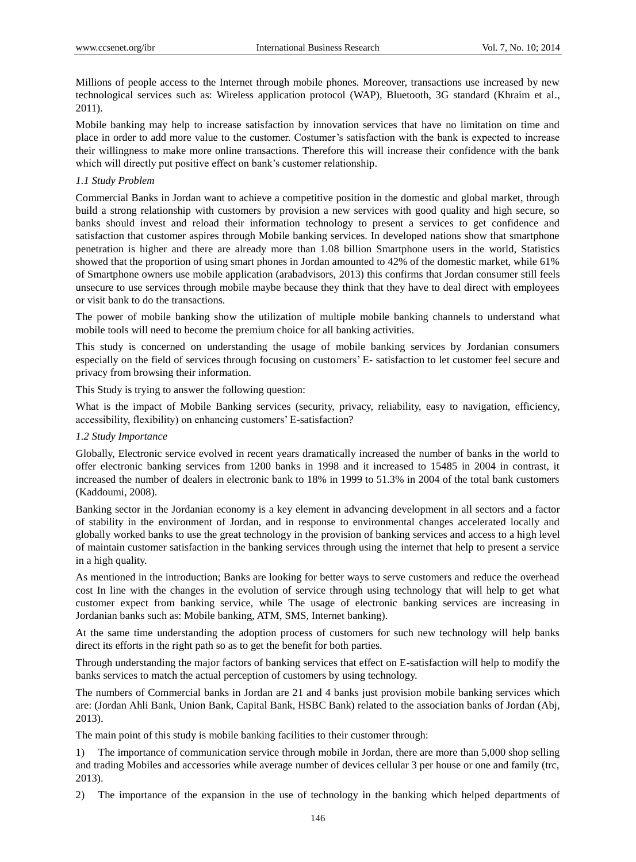Millions of people access to the Internet through mobile phones. Moreover, transactions use increased by new technological services such as: Wireless application protocol (WAP), Bluetooth, 3G standard (Khraim et al., 2011).

Mobile banking may help to increase satisfaction by innovation services that have no limitation on time and place in order to add more value to the customer. Costumer's satisfaction with the bank is expected to increase their willingness to make more online transactions. Therefore this will increase their confidence with the bank which will directly put positive effect on bank's customer relationship.

# *1.1 Study Problem*

Commercial Banks in Jordan want to achieve a competitive position in the domestic and global market, through build a strong relationship with customers by provision a new services with good quality and high secure, so banks should invest and reload their information technology to present a services to get confidence and satisfaction that customer aspires through Mobile banking services. In developed nations show that smartphone penetration is higher and there are already more than 1.08 billion Smartphone users in the world, Statistics showed that the proportion of using smart phones in Jordan amounted to 42% of the domestic market, while 61% of Smartphone owners use mobile application (arabadvisors, 2013) this confirms that Jordan consumer still feels unsecure to use services through mobile maybe because they think that they have to deal direct with employees or visit bank to do the transactions.

The power of mobile banking show the utilization of multiple mobile banking channels to understand what mobile tools will need to become the premium choice for all banking activities.

This study is concerned on understanding the usage of mobile banking services by Jordanian consumers especially on the field of services through focusing on customers' E- satisfaction to let customer feel secure and privacy from browsing their information.

This Study is trying to answer the following question:

What is the impact of Mobile Banking services (security, privacy, reliability, easy to navigation, efficiency, accessibility, flexibility) on enhancing customers' E-satisfaction?

# *1.2 Study Importance*

Globally, Electronic service evolved in recent years dramatically increased the number of banks in the world to offer electronic banking services from 1200 banks in 1998 and it increased to 15485 in 2004 in contrast, it increased the number of dealers in electronic bank to 18% in 1999 to 51.3% in 2004 of the total bank customers (Kaddoumi, 2008).

Banking sector in the Jordanian economy is a key element in advancing development in all sectors and a factor of stability in the environment of Jordan, and in response to environmental changes accelerated locally and globally worked banks to use the great technology in the provision of banking services and access to a high level of maintain customer satisfaction in the banking services through using the internet that help to present a service in a high quality.

As mentioned in the introduction; Banks are looking for better ways to serve customers and reduce the overhead cost In line with the changes in the evolution of service through using technology that will help to get what customer expect from banking service, while The usage of electronic banking services are increasing in Jordanian banks such as: Mobile banking, ATM, SMS, Internet banking).

At the same time understanding the adoption process of customers for such new technology will help banks direct its efforts in the right path so as to get the benefit for both parties.

Through understanding the major factors of banking services that effect on E-satisfaction will help to modify the banks services to match the actual perception of customers by using technology.

The numbers of Commercial banks in Jordan are 21 and 4 banks just provision mobile banking services which are: (Jordan Ahli Bank, Union Bank, Capital Bank, HSBC Bank) related to the association banks of Jordan (Abj, 2013).

The main point of this study is mobile banking facilities to their customer through:

1) The importance of communication service through mobile in Jordan, there are more than 5,000 shop selling and trading Mobiles and accessories while average number of devices cellular 3 per house or one and family (trc, 2013).

2) The importance of the expansion in the use of technology in the banking which helped departments of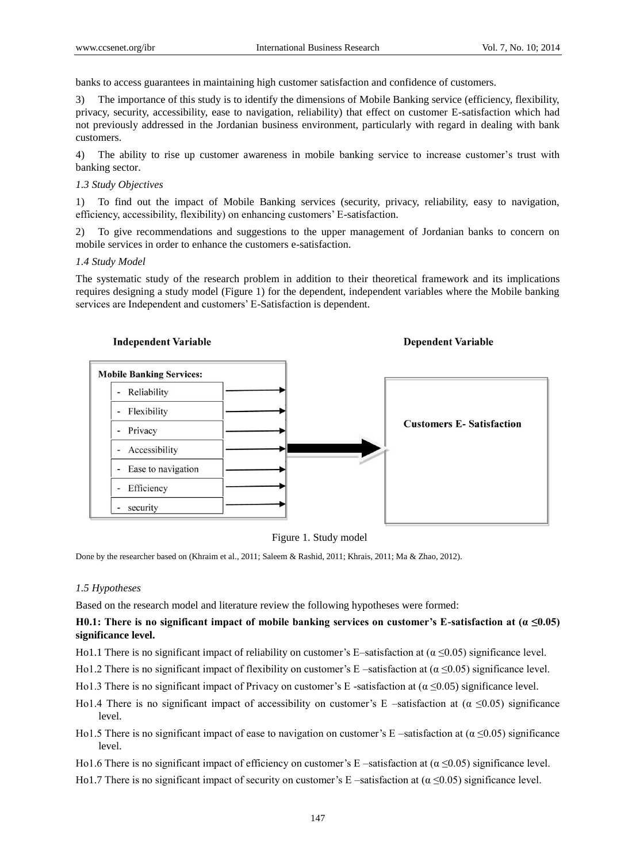banks to access guarantees in maintaining high customer satisfaction and confidence of customers.

3) The importance of this study is to identify the dimensions of Mobile Banking service (efficiency, flexibility, privacy, security, accessibility, ease to navigation, reliability) that effect on customer E-satisfaction which had not previously addressed in the Jordanian business environment, particularly with regard in dealing with bank customers.

4) The ability to rise up customer awareness in mobile banking service to increase customer's trust with banking sector.

#### *1.3 Study Objectives*

1) To find out the impact of Mobile Banking services (security, privacy, reliability, easy to navigation, efficiency, accessibility, flexibility) on enhancing customers' E-satisfaction.

2) To give recommendations and suggestions to the upper management of Jordanian banks to concern on mobile services in order to enhance the customers e-satisfaction.

# *1.4 Study Model*

The systematic study of the research problem in addition to their theoretical framework and its implications requires designing a study model (Figure 1) for the dependent, independent variables where the Mobile banking services are Independent and customers' E-Satisfaction is dependent.





Done by the researcher based on (Khraim et al., 2011; Saleem & Rashid, 2011; Khrais, 2011; Ma & Zhao, 2012).

#### *1.5 Hypotheses*

Based on the research model and literature review the following hypotheses were formed:

# **H0.1: There is no significant impact of mobile banking services on customer's E-satisfaction at (α ≤0.05) significance level.**

- Ho1.1 There is no significant impact of reliability on customer's E–satisfaction at ( $\alpha \le 0.05$ ) significance level.
- Ho1.2 There is no significant impact of flexibility on customer's E –satisfaction at ( $\alpha \le 0.05$ ) significance level.
- Ho1.3 There is no significant impact of Privacy on customer's E -satisfaction at ( $\alpha \le 0.05$ ) significance level.
- Ho1.4 There is no significant impact of accessibility on customer's E –satisfaction at ( $\alpha \le 0.05$ ) significance level.
- Ho1.5 There is no significant impact of ease to navigation on customer's E –satisfaction at ( $\alpha \le 0.05$ ) significance level.
- Ho1.6 There is no significant impact of efficiency on customer's E –satisfaction at ( $\alpha \le 0.05$ ) significance level.
- Ho1.7 There is no significant impact of security on customer's E –satisfaction at ( $\alpha \le 0.05$ ) significance level.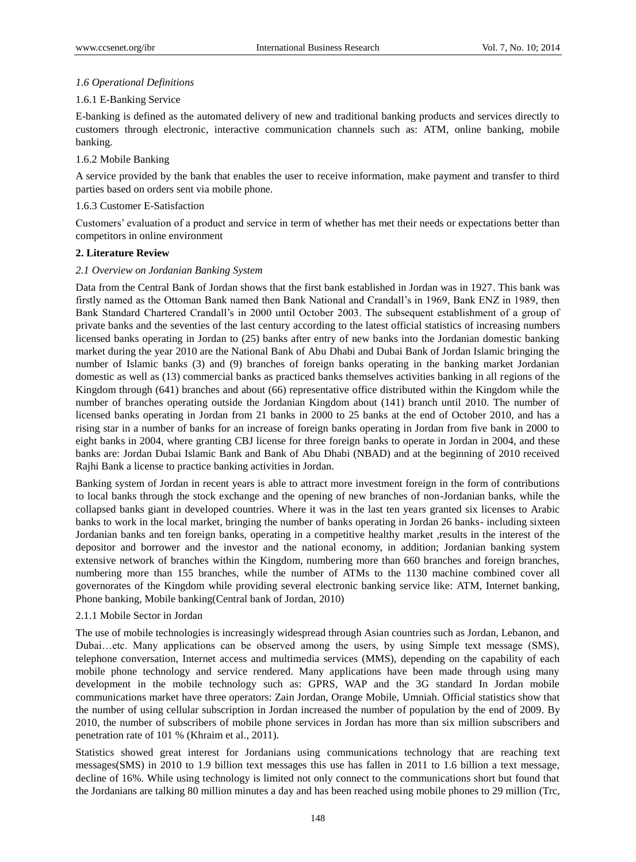# *1.6 Operational Definitions*

# 1.6.1 E-Banking Service

E-banking is defined as the automated delivery of new and traditional banking products and services directly to customers through electronic, interactive communication channels such as: ATM, online banking, mobile banking.

# 1.6.2 Mobile Banking

A service provided by the bank that enables the user to receive information, make payment and transfer to third parties based on orders sent via mobile phone.

# 1.6.3 Customer E-Satisfaction

Customers' evaluation of a product and service in term of whether has met their needs or expectations better than competitors in online environment

# **2. Literature Review**

# *2.1 Overview on Jordanian Banking System*

Data from the Central Bank of Jordan shows that the first bank established in Jordan was in 1927. This bank was firstly named as the Ottoman Bank named then Bank National and Crandall's in 1969, Bank ENZ in 1989, then Bank Standard Chartered Crandall's in 2000 until October 2003. The subsequent establishment of a group of private banks and the seventies of the last century according to the latest official statistics of increasing numbers licensed banks operating in Jordan to (25) banks after entry of new banks into the Jordanian domestic banking market during the year 2010 are the National Bank of Abu Dhabi and Dubai Bank of Jordan Islamic bringing the number of Islamic banks (3) and (9) branches of foreign banks operating in the banking market Jordanian domestic as well as (13) commercial banks as practiced banks themselves activities banking in all regions of the Kingdom through (641) branches and about (66) representative office distributed within the Kingdom while the number of branches operating outside the Jordanian Kingdom about (141) branch until 2010. The number of licensed banks operating in Jordan from 21 banks in 2000 to 25 banks at the end of October 2010, and has a rising star in a number of banks for an increase of foreign banks operating in Jordan from five bank in 2000 to eight banks in 2004, where granting CBJ license for three foreign banks to operate in Jordan in 2004, and these banks are: Jordan Dubai Islamic Bank and Bank of Abu Dhabi (NBAD) and at the beginning of 2010 received Rajhi Bank a license to practice banking activities in Jordan.

Banking system of Jordan in recent years is able to attract more investment foreign in the form of contributions to local banks through the stock exchange and the opening of new branches of non-Jordanian banks, while the collapsed banks giant in developed countries. Where it was in the last ten years granted six licenses to Arabic banks to work in the local market, bringing the number of banks operating in Jordan 26 banks- including sixteen Jordanian banks and ten foreign banks, operating in a competitive healthy market ,results in the interest of the depositor and borrower and the investor and the national economy, in addition; Jordanian banking system extensive network of branches within the Kingdom, numbering more than 660 branches and foreign branches, numbering more than 155 branches, while the number of ATMs to the 1130 machine combined cover all governorates of the Kingdom while providing several electronic banking service like: ATM, Internet banking, Phone banking, Mobile banking(Central bank of Jordan, 2010)

## 2.1.1 Mobile Sector in Jordan

The use of mobile technologies is increasingly widespread through Asian countries such as Jordan, Lebanon, and Dubai…etc. Many applications can be observed among the users, by using Simple text message (SMS), telephone conversation, Internet access and multimedia services (MMS), depending on the capability of each mobile phone technology and service rendered. Many applications have been made through using many development in the mobile technology such as: GPRS, WAP and the 3G standard In Jordan mobile communications market have three operators: Zain Jordan, Orange Mobile, Umniah. Official statistics show that the number of using cellular subscription in Jordan increased the number of population by the end of 2009. By 2010, the number of subscribers of mobile phone services in Jordan has more than six million subscribers and penetration rate of 101 % (Khraim et al., 2011).

Statistics showed great interest for Jordanians using communications technology that are reaching text messages(SMS) in 2010 to 1.9 billion text messages this use has fallen in 2011 to 1.6 billion a text message, decline of 16%. While using technology is limited not only connect to the communications short but found that the Jordanians are talking 80 million minutes a day and has been reached using mobile phones to 29 million (Trc,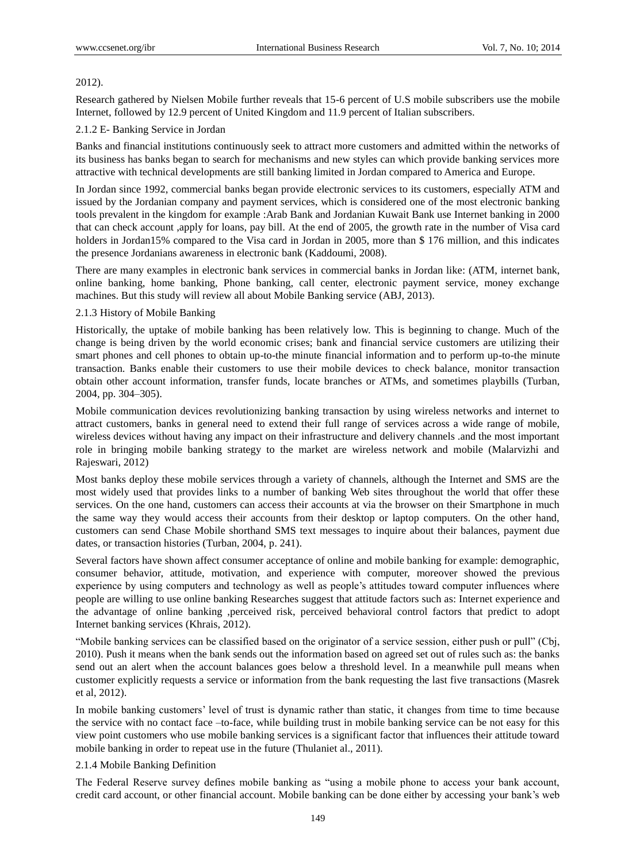#### 2012).

Research gathered by Nielsen Mobile further reveals that 15-6 percent of U.S mobile subscribers use the mobile Internet, followed by 12.9 percent of United Kingdom and 11.9 percent of Italian subscribers.

#### 2.1.2 E- Banking Service in Jordan

Banks and financial institutions continuously seek to attract more customers and admitted within the networks of its business has banks began to search for mechanisms and new styles can which provide banking services more attractive with technical developments are still banking limited in Jordan compared to America and Europe.

In Jordan since 1992, commercial banks began provide electronic services to its customers, especially ATM and issued by the Jordanian company and payment services, which is considered one of the most electronic banking tools prevalent in the kingdom for example :Arab Bank and Jordanian Kuwait Bank use Internet banking in 2000 that can check account ,apply for loans, pay bill. At the end of 2005, the growth rate in the number of Visa card holders in Jordan15% compared to the Visa card in Jordan in 2005, more than \$ 176 million, and this indicates the presence Jordanians awareness in electronic bank (Kaddoumi, 2008).

There are many examples in electronic bank services in commercial banks in Jordan like: (ATM, internet bank, online banking, home banking, Phone banking, call center, electronic payment service, money exchange machines. But this study will review all about Mobile Banking service (ABJ, 2013).

## 2.1.3 History of Mobile Banking

Historically, the uptake of mobile banking has been relatively low. This is beginning to change. Much of the change is being driven by the world economic crises; bank and financial service customers are utilizing their smart phones and cell phones to obtain up-to-the minute financial information and to perform up-to-the minute transaction. Banks enable their customers to use their mobile devices to check balance, monitor transaction obtain other account information, transfer funds, locate branches or ATMs, and sometimes playbills (Turban, 2004, pp. 304–305).

Mobile communication devices revolutionizing banking transaction by using wireless networks and internet to attract customers, banks in general need to extend their full range of services across a wide range of mobile, wireless devices without having any impact on their infrastructure and delivery channels .and the most important role in bringing mobile banking strategy to the market are wireless network and mobile (Malarvizhi and Rajeswari, 2012)

Most banks deploy these mobile services through a variety of channels, although the Internet and SMS are the most widely used that provides links to a number of banking Web sites throughout the world that offer these services. On the one hand, customers can access their accounts at via the browser on their Smartphone in much the same way they would access their accounts from their desktop or laptop computers. On the other hand, customers can send Chase Mobile shorthand SMS text messages to inquire about their balances, payment due dates, or transaction histories (Turban, 2004, p. 241).

Several factors have shown affect consumer acceptance of online and mobile banking for example: demographic, consumer behavior, attitude, motivation, and experience with computer, moreover showed the previous experience by using computers and technology as well as people's attitudes toward computer influences where people are willing to use online banking Researches suggest that attitude factors such as: Internet experience and the advantage of online banking ,perceived risk, perceived behavioral control factors that predict to adopt Internet banking services (Khrais, 2012).

"Mobile banking services can be classified based on the originator of a service session, either push or pull" (Cbj, 2010). Push it means when the bank sends out the information based on agreed set out of rules such as: the banks send out an alert when the account balances goes below a threshold level. In a meanwhile pull means when customer explicitly requests a service or information from the bank requesting the last five transactions (Masrek et al, 2012).

In mobile banking customers' level of trust is dynamic rather than static, it changes from time to time because the service with no contact face –to-face, while building trust in mobile banking service can be not easy for this view point customers who use mobile banking services is a significant factor that influences their attitude toward mobile banking in order to repeat use in the future (Thulaniet al., 2011).

## 2.1.4 Mobile Banking Definition

The Federal Reserve survey defines mobile banking as "using a mobile phone to access your bank account, credit card account, or other financial account. Mobile banking can be done either by accessing your bank's web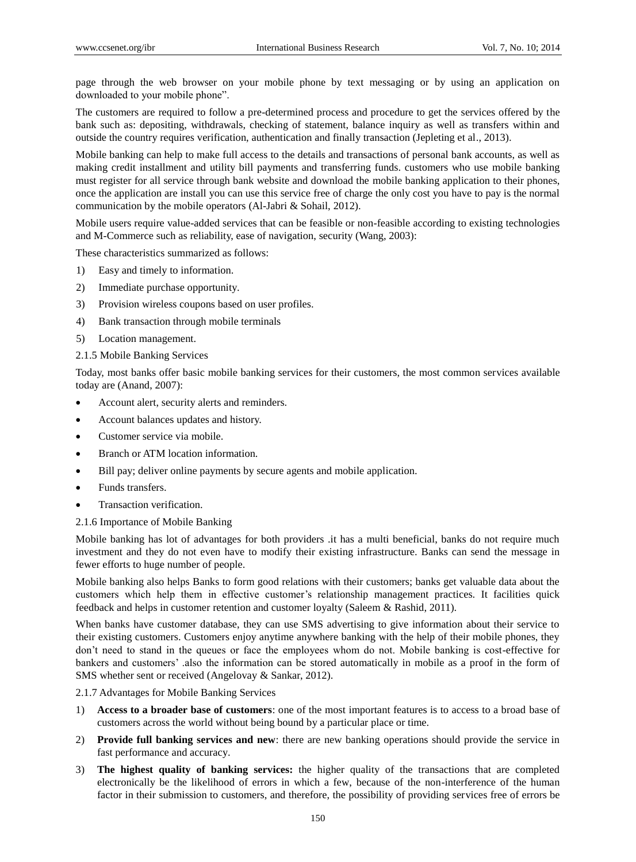page through the web browser on your mobile phone by text messaging or by using an application on downloaded to your mobile phone".

The customers are required to follow a pre-determined process and procedure to get the services offered by the bank such as: depositing, withdrawals, checking of statement, balance inquiry as well as transfers within and outside the country requires verification, authentication and finally transaction (Jepleting et al., 2013).

Mobile banking can help to make full access to the details and transactions of personal bank accounts, as well as making credit installment and utility bill payments and transferring funds. customers who use mobile banking must register for all service through bank website and download the mobile banking application to their phones, once the application are install you can use this service free of charge the only cost you have to pay is the normal communication by the mobile operators (Al-Jabri & Sohail, 2012).

Mobile users require value-added services that can be feasible or non-feasible according to existing technologies and M-Commerce such as reliability, ease of navigation, security (Wang, 2003):

These characteristics summarized as follows:

- 1) Easy and timely to information.
- 2) Immediate purchase opportunity.
- 3) Provision wireless coupons based on user profiles.
- 4) Bank transaction through mobile terminals
- 5) Location management.
- 2.1.5 Mobile Banking Services

Today, most banks offer basic mobile banking services for their customers, the most common services available today are (Anand, 2007):

- Account alert, security alerts and reminders.
- Account balances updates and history.
- Customer service via mobile.
- Branch or ATM location information.
- Bill pay; deliver online payments by secure agents and mobile application.
- Funds transfers.
- Transaction verification.
- 2.1.6 Importance of Mobile Banking

Mobile banking has lot of advantages for both providers .it has a multi beneficial, banks do not require much investment and they do not even have to modify their existing infrastructure. Banks can send the message in fewer efforts to huge number of people.

Mobile banking also helps Banks to form good relations with their customers; banks get valuable data about the customers which help them in effective customer's relationship management practices. It facilities quick feedback and helps in customer retention and customer loyalty (Saleem & Rashid, 2011).

When banks have customer database, they can use SMS advertising to give information about their service to their existing customers. Customers enjoy anytime anywhere banking with the help of their mobile phones, they don't need to stand in the queues or face the employees whom do not. Mobile banking is cost-effective for bankers and customers' .also the information can be stored automatically in mobile as a proof in the form of SMS whether sent or received (Angelovay & Sankar, 2012).

2.1.7 Advantages for Mobile Banking Services

- 1) **Access to a broader base of customers**: one of the most important features is to access to a broad base of customers across the world without being bound by a particular place or time.
- 2) **Provide full banking services and new**: there are new banking operations should provide the service in fast performance and accuracy.
- 3) **The highest quality of banking services:** the higher quality of the transactions that are completed electronically be the likelihood of errors in which a few, because of the non-interference of the human factor in their submission to customers, and therefore, the possibility of providing services free of errors be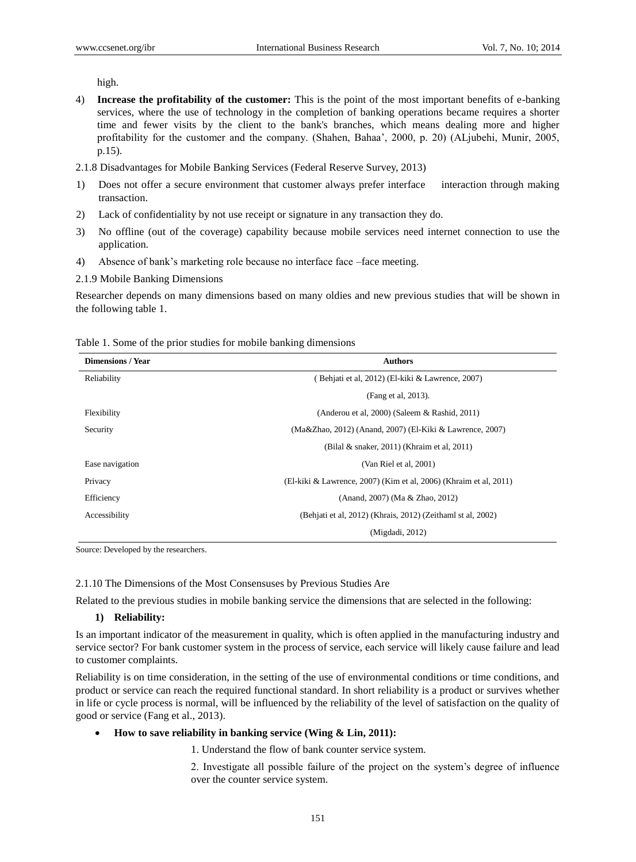high.

4) **Increase the profitability of the customer:** This is the point of the most important benefits of e-banking services, where the use of technology in the completion of banking operations became requires a shorter time and fewer visits by the client to the bank's branches, which means dealing more and higher profitability for the customer and the company. (Shahen, Bahaa', 2000, p. 20) (ALjubehi, Munir, 2005, p.15).

2.1.8 Disadvantages for Mobile Banking Services (Federal Reserve Survey, 2013)

- 1) Does not offer a secure environment that customer always prefer interface interaction through making transaction.
- 2) Lack of confidentiality by not use receipt or signature in any transaction they do.
- 3) No offline (out of the coverage) capability because mobile services need internet connection to use the application.
- 4) Absence of bank's marketing role because no interface face –face meeting.
- 2.1.9 Mobile Banking Dimensions

Researcher depends on many dimensions based on many oldies and new previous studies that will be shown in the following table 1.

|  |  |  |  | Table 1. Some of the prior studies for mobile banking dimensions |
|--|--|--|--|------------------------------------------------------------------|
|  |  |  |  |                                                                  |

| <b>Dimensions / Year</b> | <b>Authors</b>                                                    |  |  |
|--------------------------|-------------------------------------------------------------------|--|--|
| Reliability              | (Behjati et al, 2012) (El-kiki & Lawrence, 2007)                  |  |  |
|                          | (Fang et al. 2013).                                               |  |  |
| Flexibility              | (Anderou et al. $2000$ ) (Saleem & Rashid, $2011$ )               |  |  |
| Security                 | (Ma&Zhao, 2012) (Anand, 2007) (El-Kiki & Lawrence, 2007)          |  |  |
|                          | (Bilal & snaker, 2011) (Khraim et al, 2011)                       |  |  |
| Ease navigation          | (Van Riel et al, 2001)                                            |  |  |
| Privacy                  | (El-kiki & Lawrence, 2007) (Kim et al, 2006) (Khraim et al, 2011) |  |  |
| Efficiency               | (Anand, 2007) (Ma & Zhao, 2012)                                   |  |  |
| Accessibility            | (Behjati et al, 2012) (Khrais, 2012) (Zeithaml st al, 2002)       |  |  |
|                          | (Migdadi, 2012)                                                   |  |  |

Source: Developed by the researchers.

2.1.10 The Dimensions of the Most Consensuses by Previous Studies Are

Related to the previous studies in mobile banking service the dimensions that are selected in the following:

#### **1) Reliability:**

Is an important indicator of the measurement in quality, which is often applied in the manufacturing industry and service sector? For bank customer system in the process of service, each service will likely cause failure and lead to customer complaints.

Reliability is on time consideration, in the setting of the use of environmental conditions or time conditions, and product or service can reach the required functional standard. In short reliability is a product or survives whether in life or cycle process is normal, will be influenced by the reliability of the level of satisfaction on the quality of good or service (Fang et al., 2013).

## **How to save reliability in banking service (Wing & Lin, 2011):**

1. Understand the flow of bank counter service system.

2. Investigate all possible failure of the project on the system's degree of influence over the counter service system.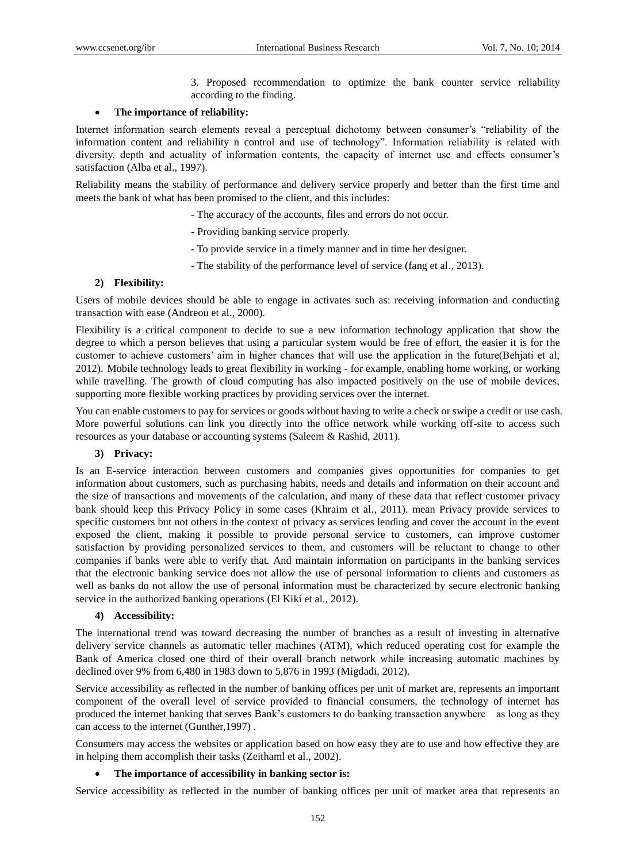3. Proposed recommendation to optimize the bank counter service reliability according to the finding.

# **The importance of reliability:**

Internet information search elements reveal a perceptual dichotomy between consumer's "reliability of the information content and reliability n control and use of technology". Information reliability is related with diversity, depth and actuality of information contents, the capacity of internet use and effects consumer's satisfaction (Alba et al., 1997).

Reliability means the stability of performance and delivery service properly and better than the first time and meets the bank of what has been promised to the client, and this includes:

- The accuracy of the accounts, files and errors do not occur.
- Providing banking service properly.
- To provide service in a timely manner and in time her designer.
- The stability of the performance level of service (fang et al., 2013).

# **2) Flexibility:**

Users of mobile devices should be able to engage in activates such as: receiving information and conducting transaction with ease (Andreou et al., 2000).

Flexibility is a critical component to decide to sue a new information technology application that show the degree to which a person believes that using a particular system would be free of effort, the easier it is for the customer to achieve customers' aim in higher chances that will use the application in the future(Behjati et al, 2012). Mobile technology leads to great flexibility in working - for example, enabling home working, or working while travelling. The growth of cloud computing has also impacted positively on the use of mobile devices, supporting more flexible working practices by providing services over the internet.

You can enable customers to pay for services or goods without having to write a check or swipe a credit or use cash. More powerful solutions can link you directly into the office network while working off-site to access such resources as your database or accounting systems (Saleem & Rashid, 2011).

## **3) Privacy:**

Is an E-service interaction between customers and companies gives opportunities for companies to get information about customers, such as purchasing habits, needs and details and information on their account and the size of transactions and movements of the calculation, and many of these data that reflect customer privacy bank should keep this Privacy Policy in some cases (Khraim et al., 2011). mean Privacy provide services to specific customers but not others in the context of privacy as services lending and cover the account in the event exposed the client, making it possible to provide personal service to customers, can improve customer satisfaction by providing personalized services to them, and customers will be reluctant to change to other companies if banks were able to verify that. And maintain information on participants in the banking services that the electronic banking service does not allow the use of personal information to clients and customers as well as banks do not allow the use of personal information must be characterized by secure electronic banking service in the authorized banking operations (El Kiki et al., 2012).

## **4) Accessibility:**

The international trend was toward decreasing the number of branches as a result of investing in alternative delivery service channels as automatic teller machines (ATM), which reduced operating cost for example the Bank of America closed one third of their overall branch network while increasing automatic machines by declined over 9% from 6,480 in 1983 down to 5,876 in 1993 (Migdadi, 2012).

Service accessibility as reflected in the number of banking offices per unit of market are, represents an important component of the overall level of service provided to financial consumers, the technology of internet has produced the internet banking that serves Bank's customers to do banking transaction anywhere as long as they can access to the internet (Gunther,1997) .

Consumers may access the websites or application based on how easy they are to use and how effective they are in helping them accomplish their tasks (Zeithaml et al., 2002).

# **The importance of accessibility in banking sector is:**

Service accessibility as reflected in the number of banking offices per unit of market area that represents an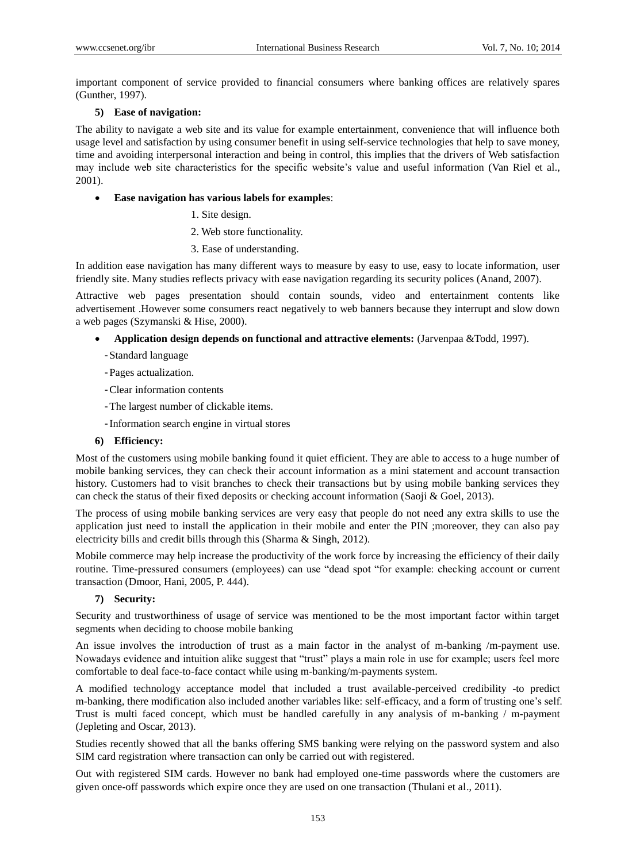important component of service provided to financial consumers where banking offices are relatively spares (Gunther, 1997).

# **5) Ease of navigation:**

The ability to navigate a web site and its value for example entertainment, convenience that will influence both usage level and satisfaction by using consumer benefit in using self-service technologies that help to save money, time and avoiding interpersonal interaction and being in control, this implies that the drivers of Web satisfaction may include web site characteristics for the specific website's value and useful information (Van Riel et al., 2001).

- **Ease navigation has various labels for examples**:
	- 1. Site design.
	- 2. Web store functionality.
	- 3. Ease of understanding.

In addition ease navigation has many different ways to measure by easy to use, easy to locate information, user friendly site. Many studies reflects privacy with ease navigation regarding its security polices (Anand, 2007).

Attractive web pages presentation should contain sounds, video and entertainment contents like advertisement .However some consumers react negatively to web banners because they interrupt and slow down a web pages (Szymanski & Hise, 2000).

- **Application design depends on functional and attractive elements:** (Jarvenpaa &Todd, 1997).
	- -Standard language
	- -Pages actualization.
	- -Clear information contents
	- -The largest number of clickable items.
	- -Information search engine in virtual stores

## **6) Efficiency:**

Most of the customers using mobile banking found it quiet efficient. They are able to access to a huge number of mobile banking services, they can check their account information as a mini statement and account transaction history. Customers had to visit branches to check their transactions but by using mobile banking services they can check the status of their fixed deposits or checking account information (Saoji & Goel, 2013).

The process of using mobile banking services are very easy that people do not need any extra skills to use the application just need to install the application in their mobile and enter the PIN ;moreover, they can also pay electricity bills and credit bills through this (Sharma & Singh, 2012).

Mobile commerce may help increase the productivity of the work force by increasing the efficiency of their daily routine. Time-pressured consumers (employees) can use "dead spot "for example: checking account or current transaction (Dmoor, Hani, 2005, P. 444).

# **7) Security:**

Security and trustworthiness of usage of service was mentioned to be the most important factor within target segments when deciding to choose mobile banking

An issue involves the introduction of trust as a main factor in the analyst of m-banking /m-payment use. Nowadays evidence and intuition alike suggest that "trust" plays a main role in use for example; users feel more comfortable to deal face-to-face contact while using m-banking/m-payments system.

A modified technology acceptance model that included a trust available-perceived credibility -to predict m-banking, there modification also included another variables like: self-efficacy, and a form of trusting one's self. Trust is multi faced concept, which must be handled carefully in any analysis of m-banking / m-payment (Jepleting and Oscar, 2013).

Studies recently showed that all the banks offering SMS banking were relying on the password system and also SIM card registration where transaction can only be carried out with registered.

Out with registered SIM cards. However no bank had employed one-time passwords where the customers are given once-off passwords which expire once they are used on one transaction (Thulani et al., 2011).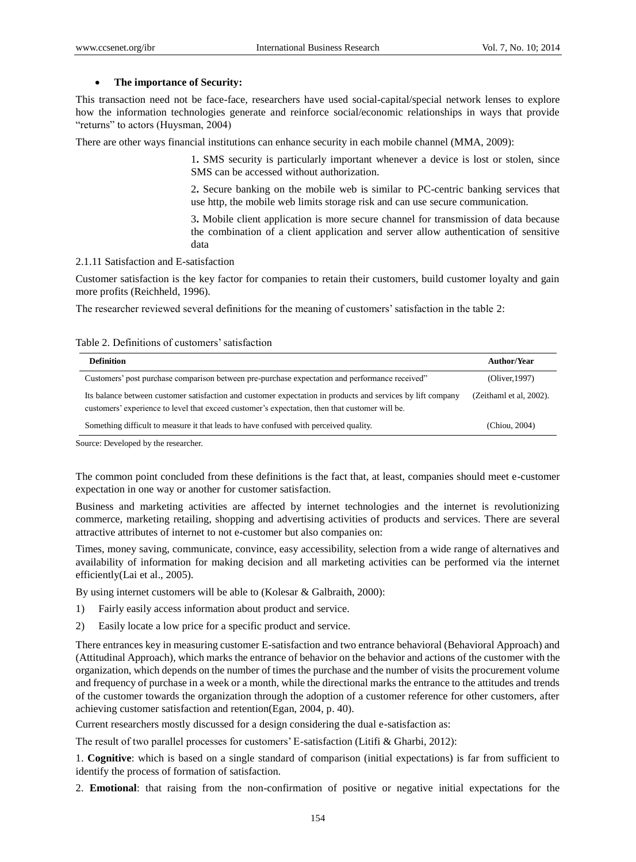#### **The importance of Security:**

This transaction need not be face-face, researchers have used social-capital/special network lenses to explore how the information technologies generate and reinforce social/economic relationships in ways that provide "returns" to actors (Huysman, 2004)

There are other ways financial institutions can enhance security in each mobile channel (MMA, 2009):

1**.** SMS security is particularly important whenever a device is lost or stolen, since SMS can be accessed without authorization.

2**.** Secure banking on the mobile web is similar to PC-centric banking services that use http, the mobile web limits storage risk and can use secure communication.

3**.** Mobile client application is more secure channel for transmission of data because the combination of a client application and server allow authentication of sensitive data

#### 2.1.11 Satisfaction and E-satisfaction

Customer satisfaction is the key factor for companies to retain their customers, build customer loyalty and gain more profits (Reichheld, 1996).

The researcher reviewed several definitions for the meaning of customers' satisfaction in the table 2:

#### Table 2. Definitions of customers' satisfaction

| <b>Definition</b>                                                                                                                                                                                             | <b>Author/Year</b>      |
|---------------------------------------------------------------------------------------------------------------------------------------------------------------------------------------------------------------|-------------------------|
| Customers' post purchase comparison between pre-purchase expectation and performance received"                                                                                                                | (Oliver, 1997)          |
| Its balance between customer satisfaction and customer expectation in products and services by lift company<br>customers' experience to level that exceed customer's expectation, then that customer will be. | (Zeithaml et al, 2002). |
| Something difficult to measure it that leads to have confused with perceived quality.                                                                                                                         | (Chiou, 2004)           |

Source: Developed by the researcher.

The common point concluded from these definitions is the fact that, at least, companies should meet e-customer expectation in one way or another for customer satisfaction.

Business and marketing activities are affected by internet technologies and the internet is revolutionizing commerce, marketing retailing, shopping and advertising activities of products and services. There are several attractive attributes of internet to not e-customer but also companies on:

Times, money saving, communicate, convince, easy accessibility, selection from a wide range of alternatives and availability of information for making decision and all marketing activities can be performed via the internet efficiently(Lai et al., 2005).

By using internet customers will be able to (Kolesar & Galbraith, 2000):

- 1) Fairly easily access information about product and service.
- 2) Easily locate a low price for a specific product and service.

There entrances key in measuring customer E-satisfaction and two entrance behavioral (Behavioral Approach) and (Attitudinal Approach), which marks the entrance of behavior on the behavior and actions of the customer with the organization, which depends on the number of times the purchase and the number of visits the procurement volume and frequency of purchase in a week or a month, while the directional marks the entrance to the attitudes and trends of the customer towards the organization through the adoption of a customer reference for other customers, after achieving customer satisfaction and retention(Egan, 2004, p. 40).

Current researchers mostly discussed for a design considering the dual e-satisfaction as:

The result of two parallel processes for customers' E-satisfaction (Litifi & Gharbi, 2012):

1. **Cognitive**: which is based on a single standard of comparison (initial expectations) is far from sufficient to identify the process of formation of satisfaction.

2. **Emotional**: that raising from the non-confirmation of positive or negative initial expectations for the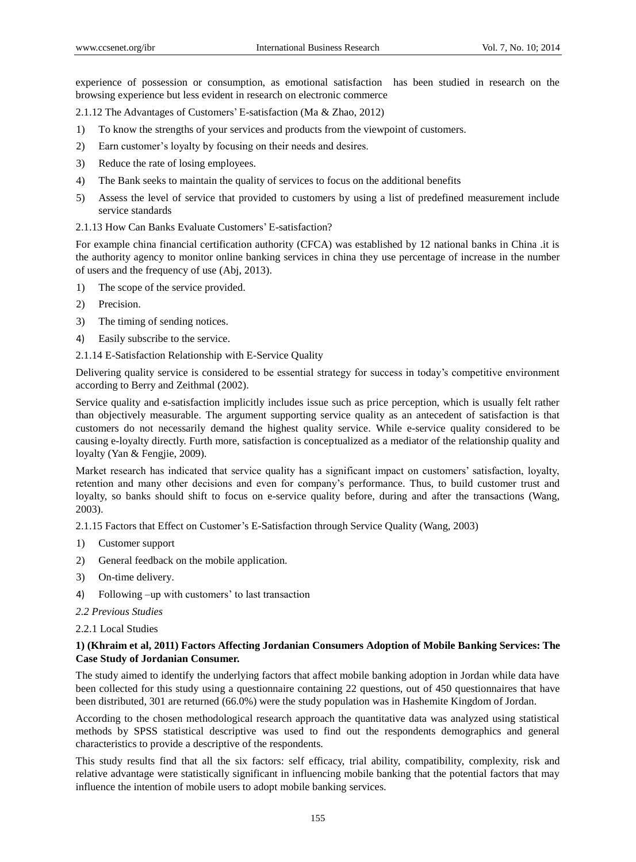experience of possession or consumption, as emotional satisfaction has been studied in research on the browsing experience but less evident in research on electronic commerce

2.1.12 The Advantages of Customers' E-satisfaction (Ma & Zhao, 2012)

- 1) To know the strengths of your services and products from the viewpoint of customers.
- 2) Earn customer's loyalty by focusing on their needs and desires.
- 3) Reduce the rate of losing employees.
- 4) The Bank seeks to maintain the quality of services to focus on the additional benefits
- 5) Assess the level of service that provided to customers by using a list of predefined measurement include service standards
- 2.1.13 How Can Banks Evaluate Customers' E-satisfaction?

For example china financial certification authority (CFCA) was established by 12 national banks in China .it is the authority agency to monitor online banking services in china they use percentage of increase in the number of users and the frequency of use (Abj, 2013).

- 1) The scope of the service provided.
- 2) Precision.
- 3) The timing of sending notices.
- 4) Easily subscribe to the service.
- 2.1.14 E-Satisfaction Relationship with E-Service Quality

Delivering quality service is considered to be essential strategy for success in today's competitive environment according to Berry and Zeithmal (2002).

Service quality and e-satisfaction implicitly includes issue such as price perception, which is usually felt rather than objectively measurable. The argument supporting service quality as an antecedent of satisfaction is that customers do not necessarily demand the highest quality service. While e-service quality considered to be causing e-loyalty directly. Furth more, satisfaction is conceptualized as a mediator of the relationship quality and loyalty (Yan & Fengjie, 2009).

Market research has indicated that service quality has a significant impact on customers' satisfaction, loyalty, retention and many other decisions and even for company's performance. Thus, to build customer trust and loyalty, so banks should shift to focus on e-service quality before, during and after the transactions (Wang, 2003).

2.1.15 Factors that Effect on Customer's E-Satisfaction through Service Quality (Wang, 2003)

- 1) Customer support
- 2) General feedback on the mobile application.
- 3) On-time delivery.
- 4) Following –up with customers' to last transaction
- *2.2 Previous Studies*
- 2.2.1 Local Studies

## **1) (Khraim et al, 2011) Factors Affecting Jordanian Consumers Adoption of Mobile Banking Services: The Case Study of Jordanian Consumer.**

The study aimed to identify the underlying factors that affect mobile banking adoption in Jordan while data have been collected for this study using a questionnaire containing 22 questions, out of 450 questionnaires that have been distributed, 301 are returned (66.0%) were the study population was in Hashemite Kingdom of Jordan.

According to the chosen methodological research approach the quantitative data was analyzed using statistical methods by SPSS statistical descriptive was used to find out the respondents demographics and general characteristics to provide a descriptive of the respondents.

This study results find that all the six factors: self efficacy, trial ability, compatibility, complexity, risk and relative advantage were statistically significant in influencing mobile banking that the potential factors that may influence the intention of mobile users to adopt mobile banking services.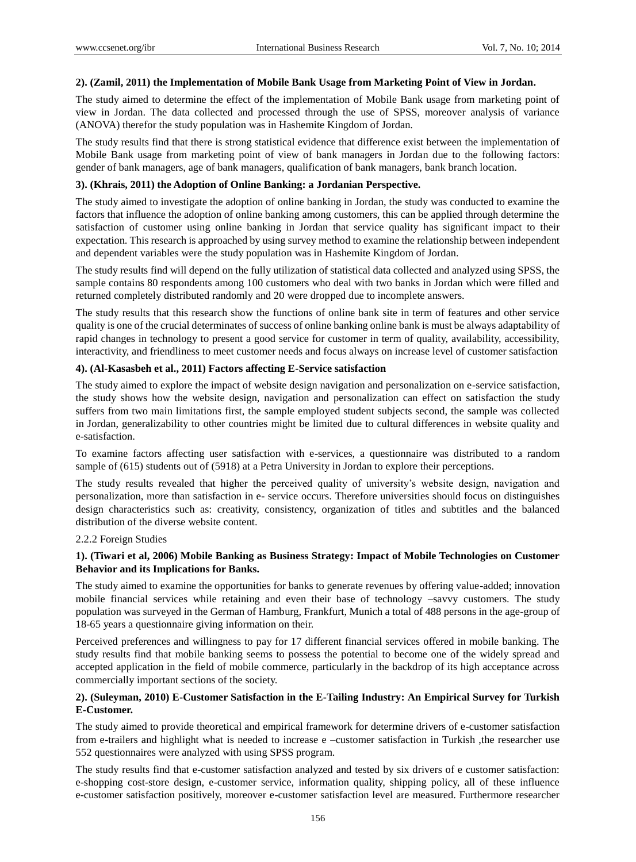# **2). (Zamil, 2011) the Implementation of Mobile Bank Usage from Marketing Point of View in Jordan.**

The study aimed to determine the effect of the implementation of Mobile Bank usage from marketing point of view in Jordan. The data collected and processed through the use of SPSS, moreover analysis of variance (ANOVA) therefor the study population was in Hashemite Kingdom of Jordan.

The study results find that there is strong statistical evidence that difference exist between the implementation of Mobile Bank usage from marketing point of view of bank managers in Jordan due to the following factors: gender of bank managers, age of bank managers, qualification of bank managers, bank branch location.

# **3). (Khrais, 2011) the Adoption of Online Banking: a Jordanian Perspective.**

The study aimed to investigate the adoption of online banking in Jordan, the study was conducted to examine the factors that influence the adoption of online banking among customers, this can be applied through determine the satisfaction of customer using online banking in Jordan that service quality has significant impact to their expectation. This research is approached by using survey method to examine the relationship between independent and dependent variables were the study population was in Hashemite Kingdom of Jordan.

The study results find will depend on the fully utilization of statistical data collected and analyzed using SPSS, the sample contains 80 respondents among 100 customers who deal with two banks in Jordan which were filled and returned completely distributed randomly and 20 were dropped due to incomplete answers.

The study results that this research show the functions of online bank site in term of features and other service quality is one of the crucial determinates of success of online banking online bank is must be always adaptability of rapid changes in technology to present a good service for customer in term of quality, availability, accessibility, interactivity, and friendliness to meet customer needs and focus always on increase level of customer satisfaction

# **4). (Al-Kasasbeh et al., 2011) Factors affecting E-Service satisfaction**

The study aimed to explore the impact of website design navigation and personalization on e-service satisfaction, the study shows how the website design, navigation and personalization can effect on satisfaction the study suffers from two main limitations first, the sample employed student subjects second, the sample was collected in Jordan, generalizability to other countries might be limited due to cultural differences in website quality and e-satisfaction.

To examine factors affecting user satisfaction with e-services, a questionnaire was distributed to a random sample of (615) students out of (5918) at a Petra University in Jordan to explore their perceptions.

The study results revealed that higher the perceived quality of university's website design, navigation and personalization, more than satisfaction in e- service occurs. Therefore universities should focus on distinguishes design characteristics such as: creativity, consistency, organization of titles and subtitles and the balanced distribution of the diverse website content.

## 2.2.2 Foreign Studies

# **1). (Tiwari et al, 2006) Mobile Banking as Business Strategy: Impact of Mobile Technologies on Customer Behavior and its Implications for Banks.**

The study aimed to examine the opportunities for banks to generate revenues by offering value-added; innovation mobile financial services while retaining and even their base of technology –savvy customers. The study population was surveyed in the German of Hamburg, Frankfurt, Munich a total of 488 persons in the age-group of 18-65 years a questionnaire giving information on their.

Perceived preferences and willingness to pay for 17 different financial services offered in mobile banking. The study results find that mobile banking seems to possess the potential to become one of the widely spread and accepted application in the field of mobile commerce, particularly in the backdrop of its high acceptance across commercially important sections of the society.

# **2). (Suleyman, 2010) E-Customer Satisfaction in the E-Tailing Industry: An Empirical Survey for Turkish E-Customer.**

The study aimed to provide theoretical and empirical framework for determine drivers of e-customer satisfaction from e-trailers and highlight what is needed to increase e –customer satisfaction in Turkish, the researcher use 552 questionnaires were analyzed with using SPSS program.

The study results find that e-customer satisfaction analyzed and tested by six drivers of e customer satisfaction: e-shopping cost-store design, e-customer service, information quality, shipping policy, all of these influence e-customer satisfaction positively, moreover e-customer satisfaction level are measured. Furthermore researcher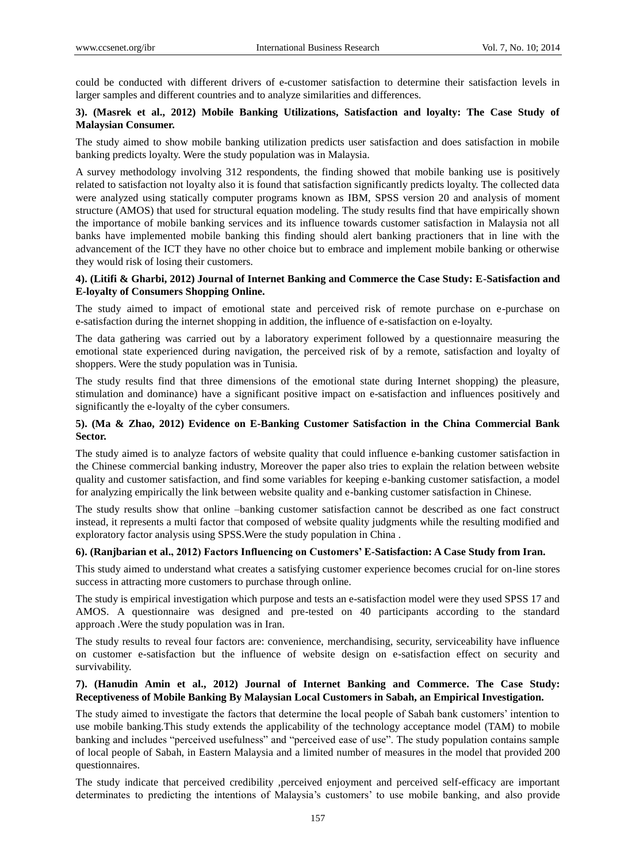could be conducted with different drivers of e-customer satisfaction to determine their satisfaction levels in larger samples and different countries and to analyze similarities and differences.

# **3). (Masrek et al., 2012) Mobile Banking Utilizations, Satisfaction and loyalty: The Case Study of Malaysian Consumer.**

The study aimed to show mobile banking utilization predicts user satisfaction and does satisfaction in mobile banking predicts loyalty. Were the study population was in Malaysia.

A survey methodology involving 312 respondents, the finding showed that mobile banking use is positively related to satisfaction not loyalty also it is found that satisfaction significantly predicts loyalty. The collected data were analyzed using statically computer programs known as IBM, SPSS version 20 and analysis of moment structure (AMOS) that used for structural equation modeling. The study results find that have empirically shown the importance of mobile banking services and its influence towards customer satisfaction in Malaysia not all banks have implemented mobile banking this finding should alert banking practioners that in line with the advancement of the ICT they have no other choice but to embrace and implement mobile banking or otherwise they would risk of losing their customers.

# **4). (Litifi & Gharbi, 2012) Journal of Internet Banking and Commerce the Case Study: E-Satisfaction and E-loyalty of Consumers Shopping Online.**

The study aimed to impact of emotional state and perceived risk of remote purchase on e-purchase on e-satisfaction during the internet shopping in addition, the influence of e-satisfaction on e-loyalty.

The data gathering was carried out by a laboratory experiment followed by a questionnaire measuring the emotional state experienced during navigation, the perceived risk of by a remote, satisfaction and loyalty of shoppers. Were the study population was in Tunisia.

The study results find that three dimensions of the emotional state during Internet shopping) the pleasure, stimulation and dominance) have a significant positive impact on e-satisfaction and influences positively and significantly the e-loyalty of the cyber consumers.

# **5). (Ma & Zhao, 2012) Evidence on E-Banking Customer Satisfaction in the China Commercial Bank Sector.**

The study aimed is to analyze factors of website quality that could influence e-banking customer satisfaction in the Chinese commercial banking industry, Moreover the paper also tries to explain the relation between website quality and customer satisfaction, and find some variables for keeping e-banking customer satisfaction, a model for analyzing empirically the link between website quality and e-banking customer satisfaction in Chinese.

The study results show that online –banking customer satisfaction cannot be described as one fact construct instead, it represents a multi factor that composed of website quality judgments while the resulting modified and exploratory factor analysis using SPSS.Were the study population in China .

# **6). (Ranjbarian et al., 2012) Factors Influencing on Customers' E-Satisfaction: A Case Study from Iran.**

This study aimed to understand what creates a satisfying customer experience becomes crucial for on-line stores success in attracting more customers to purchase through online.

The study is empirical investigation which purpose and tests an e-satisfaction model were they used SPSS 17 and AMOS. A questionnaire was designed and pre-tested on 40 participants according to the standard approach .Were the study population was in Iran.

The study results to reveal four factors are: convenience, merchandising, security, serviceability have influence on customer e-satisfaction but the influence of website design on e-satisfaction effect on security and survivability.

# **7). (Hanudin Amin et al., 2012) Journal of Internet Banking and Commerce. The Case Study: Receptiveness of Mobile Banking By Malaysian Local Customers in Sabah, an Empirical Investigation.**

The study aimed to investigate the factors that determine the local people of Sabah bank customers' intention to use mobile banking.This study extends the applicability of the technology acceptance model (TAM) to mobile banking and includes "perceived usefulness" and "perceived ease of use". The study population contains sample of local people of Sabah, in Eastern Malaysia and a limited number of measures in the model that provided 200 questionnaires.

The study indicate that perceived credibility ,perceived enjoyment and perceived self-efficacy are important determinates to predicting the intentions of Malaysia's customers' to use mobile banking, and also provide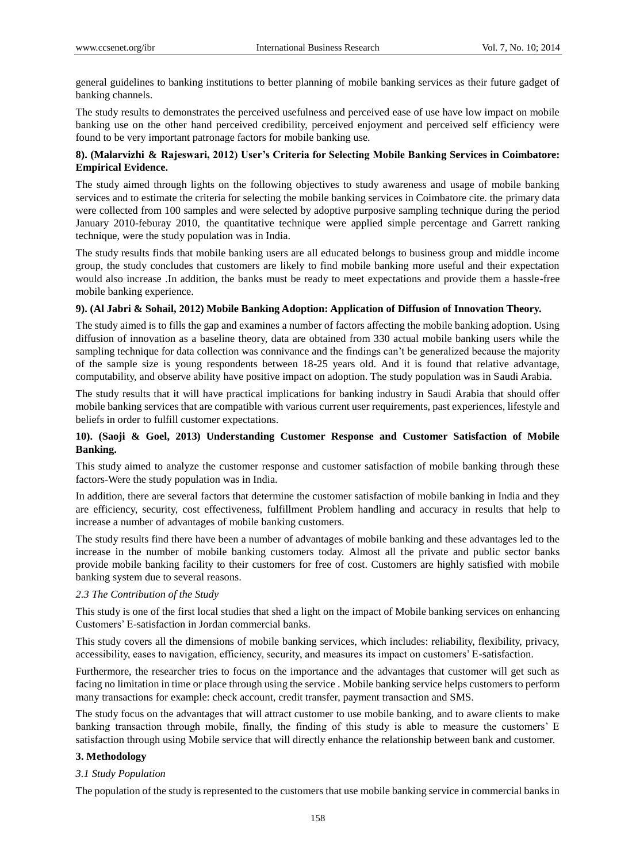general guidelines to banking institutions to better planning of mobile banking services as their future gadget of banking channels.

The study results to demonstrates the perceived usefulness and perceived ease of use have low impact on mobile banking use on the other hand perceived credibility, perceived enjoyment and perceived self efficiency were found to be very important patronage factors for mobile banking use.

# **8). (Malarvizhi & Rajeswari, 2012) User's Criteria for Selecting Mobile Banking Services in Coimbatore: Empirical Evidence.**

The study aimed through lights on the following objectives to study awareness and usage of mobile banking services and to estimate the criteria for selecting the mobile banking services in Coimbatore cite. the primary data were collected from 100 samples and were selected by adoptive purposive sampling technique during the period January 2010-feburay 2010, the quantitative technique were applied simple percentage and Garrett ranking technique, were the study population was in India.

The study results finds that mobile banking users are all educated belongs to business group and middle income group, the study concludes that customers are likely to find mobile banking more useful and their expectation would also increase .In addition, the banks must be ready to meet expectations and provide them a hassle-free mobile banking experience.

# **9). (Al Jabri & Sohail, 2012) Mobile Banking Adoption: Application of Diffusion of Innovation Theory.**

The study aimed is to fills the gap and examines a number of factors affecting the mobile banking adoption. Using diffusion of innovation as a baseline theory, data are obtained from 330 actual mobile banking users while the sampling technique for data collection was connivance and the findings can't be generalized because the majority of the sample size is young respondents between 18-25 years old. And it is found that relative advantage, computability, and observe ability have positive impact on adoption. The study population was in Saudi Arabia.

The study results that it will have practical implications for banking industry in Saudi Arabia that should offer mobile banking services that are compatible with various current user requirements, past experiences, lifestyle and beliefs in order to fulfill customer expectations.

# **10). (Saoji & Goel, 2013) Understanding Customer Response and Customer Satisfaction of Mobile Banking.**

This study aimed to analyze the customer response and customer satisfaction of mobile banking through these factors-Were the study population was in India.

In addition, there are several factors that determine the customer satisfaction of mobile banking in India and they are efficiency, security, cost effectiveness, fulfillment Problem handling and accuracy in results that help to increase a number of advantages of mobile banking customers.

The study results find there have been a number of advantages of mobile banking and these advantages led to the increase in the number of mobile banking customers today. Almost all the private and public sector banks provide mobile banking facility to their customers for free of cost. Customers are highly satisfied with mobile banking system due to several reasons.

## *2.3 The Contribution of the Study*

This study is one of the first local studies that shed a light on the impact of Mobile banking services on enhancing Customers' E-satisfaction in Jordan commercial banks.

This study covers all the dimensions of mobile banking services, which includes: reliability, flexibility, privacy, accessibility, eases to navigation, efficiency, security, and measures its impact on customers' E-satisfaction.

Furthermore, the researcher tries to focus on the importance and the advantages that customer will get such as facing no limitation in time or place through using the service . Mobile banking service helps customers to perform many transactions for example: check account, credit transfer, payment transaction and SMS.

The study focus on the advantages that will attract customer to use mobile banking, and to aware clients to make banking transaction through mobile, finally, the finding of this study is able to measure the customers' E satisfaction through using Mobile service that will directly enhance the relationship between bank and customer.

## **3. Methodology**

## *3.1 Study Population*

The population of the study is represented to the customers that use mobile banking service in commercial banks in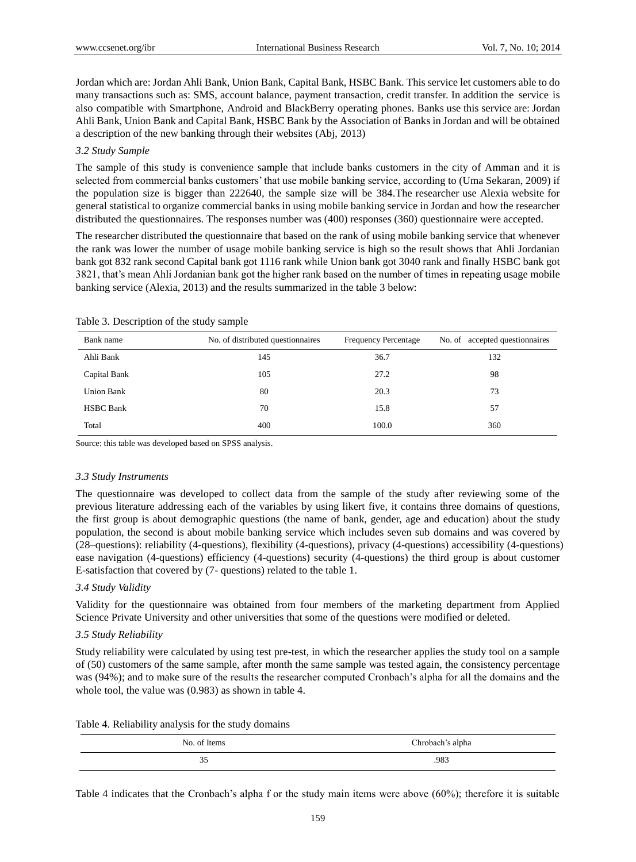Jordan which are: Jordan Ahli Bank, Union Bank, Capital Bank, HSBC Bank. This service let customers able to do many transactions such as: SMS, account balance, payment transaction, credit transfer. In addition the service is also compatible with Smartphone, Android and BlackBerry operating phones. Banks use this service are: Jordan Ahli Bank, Union Bank and Capital Bank, HSBC Bank by the Association of Banks in Jordan and will be obtained a description of the new banking through their websites (Abj, 2013)

#### *3.2 Study Sample*

The sample of this study is convenience sample that include banks customers in the city of Amman and it is selected from commercial banks customers' that use mobile banking service, according to (Uma Sekaran, 2009) if the population size is bigger than 222640, the sample size will be 384.The researcher use Alexia website for general statistical to organize commercial banks in using mobile banking service in Jordan and how the researcher distributed the questionnaires. The responses number was (400) responses (360) questionnaire were accepted.

The researcher distributed the questionnaire that based on the rank of using mobile banking service that whenever the rank was lower the number of usage mobile banking service is high so the result shows that Ahli Jordanian bank got 832 rank second Capital bank got 1116 rank while Union bank got 3040 rank and finally HSBC bank got 3821, that's mean Ahli Jordanian bank got the higher rank based on the number of times in repeating usage mobile banking service (Alexia, 2013) and the results summarized in the table 3 below:

| Bank name         | No. of distributed questionnaires | <b>Frequency Percentage</b> | No. of accepted questionnaires |
|-------------------|-----------------------------------|-----------------------------|--------------------------------|
| Ahli Bank         | 145                               | 36.7                        | 132                            |
| Capital Bank      | 105                               | 27.2                        | 98                             |
| <b>Union Bank</b> | 80                                | 20.3                        | 73                             |
| <b>HSBC</b> Bank  | 70                                | 15.8                        | 57                             |
| Total             | 400                               | 100.0                       | 360                            |

#### Table 3. Description of the study sample

Source: this table was developed based on SPSS analysis.

#### *3.3 Study Instruments*

The questionnaire was developed to collect data from the sample of the study after reviewing some of the previous literature addressing each of the variables by using likert five, it contains three domains of questions, the first group is about demographic questions (the name of bank, gender, age and education) about the study population, the second is about mobile banking service which includes seven sub domains and was covered by (28–questions): reliability (4-questions), flexibility (4-questions), privacy (4-questions) accessibility (4-questions) ease navigation (4-questions) efficiency (4-questions) security (4-questions) the third group is about customer E-satisfaction that covered by (7- questions) related to the table 1.

## *3.4 Study Validity*

Validity for the questionnaire was obtained from four members of the marketing department from Applied Science Private University and other universities that some of the questions were modified or deleted.

# *3.5 Study Reliability*

Study reliability were calculated by using test pre-test, in which the researcher applies the study tool on a sample of (50) customers of the same sample, after month the same sample was tested again, the consistency percentage was (94%); and to make sure of the results the researcher computed Cronbach's alpha for all the domains and the whole tool, the value was (0.983) as shown in table 4.

|  |  | Table 4. Reliability analysis for the study domains |
|--|--|-----------------------------------------------------|
|--|--|-----------------------------------------------------|

| No. of Items | Chrobach's alpha |
|--------------|------------------|
|              | .983             |

Table 4 indicates that the Cronbach's alpha f or the study main items were above (60%); therefore it is suitable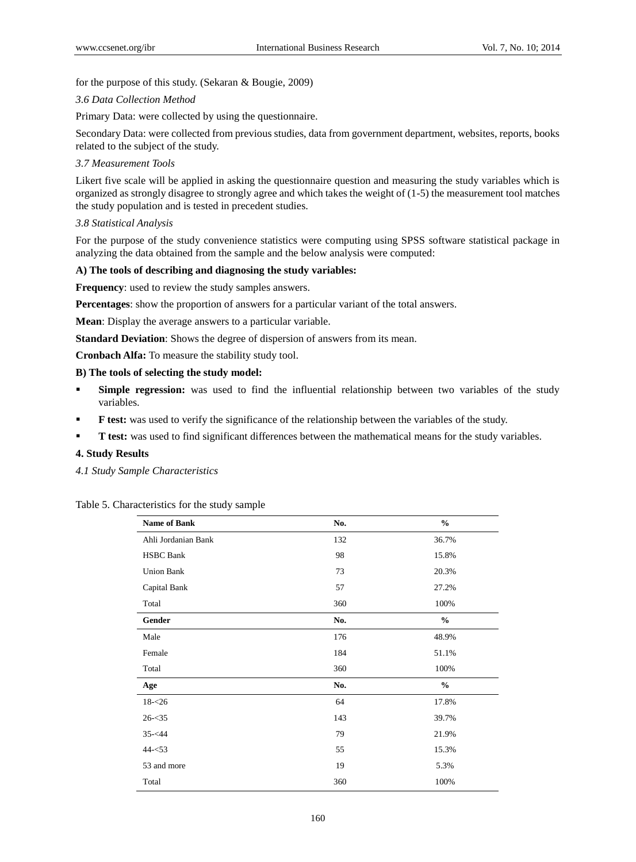for the purpose of this study. (Sekaran & Bougie, 2009)

## *3.6 Data Collection Method*

Primary Data: were collected by using the questionnaire.

Secondary Data: were collected from previous studies, data from government department, websites, reports, books related to the subject of the study.

## *3.7 Measurement Tools*

Likert five scale will be applied in asking the questionnaire question and measuring the study variables which is organized as strongly disagree to strongly agree and which takes the weight of (1-5) the measurement tool matches the study population and is tested in precedent studies.

#### *3.8 Statistical Analysis*

For the purpose of the study convenience statistics were computing using SPSS software statistical package in analyzing the data obtained from the sample and the below analysis were computed:

## **A) The tools of describing and diagnosing the study variables:**

**Frequency**: used to review the study samples answers.

**Percentages**: show the proportion of answers for a particular variant of the total answers.

**Mean**: Display the average answers to a particular variable.

**Standard Deviation**: Shows the degree of dispersion of answers from its mean.

**Cronbach Alfa:** To measure the stability study tool.

#### **B) The tools of selecting the study model:**

- **Simple regression:** was used to find the influential relationship between two variables of the study variables.
- **F test:** was used to verify the significance of the relationship between the variables of the study.
- **T test:** was used to find significant differences between the mathematical means for the study variables.

#### **4. Study Results**

*4.1 Study Sample Characteristics*

#### Table 5. Characteristics for the study sample

| <b>Name of Bank</b> | No. | $\frac{6}{6}$ |
|---------------------|-----|---------------|
| Ahli Jordanian Bank | 132 | 36.7%         |
| <b>HSBC</b> Bank    | 98  | 15.8%         |
| <b>Union Bank</b>   | 73  | 20.3%         |
| Capital Bank        | 57  | 27.2%         |
| Total               | 360 | 100%          |
| Gender              | No. | $\frac{0}{0}$ |
| Male                | 176 | 48.9%         |
| Female              | 184 | 51.1%         |
| Total               | 360 | 100%          |
| Age                 | No. | $\frac{0}{0}$ |
| $18 - 26$           | 64  | 17.8%         |
| $26 - 35$           | 143 | 39.7%         |
| $35 - 44$           | 79  | 21.9%         |
| $44 - 53$           | 55  | 15.3%         |
| 53 and more         | 19  | 5.3%          |
| Total               | 360 | 100%          |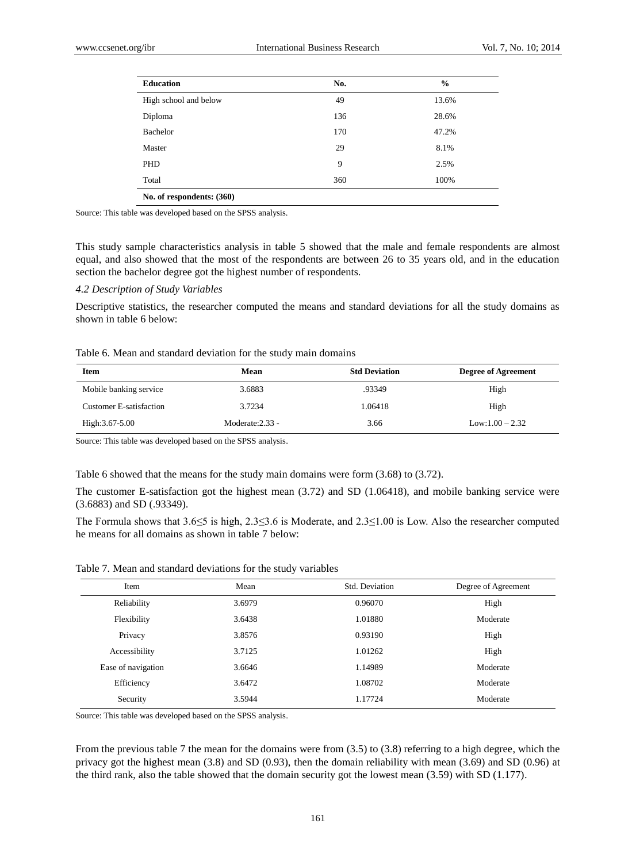| <b>Education</b>          | No. | $\frac{6}{9}$ |
|---------------------------|-----|---------------|
| High school and below     | 49  | 13.6%         |
| Diploma                   | 136 | 28.6%         |
| <b>Bachelor</b>           | 170 | 47.2%         |
| Master                    | 29  | 8.1%          |
| <b>PHD</b>                | 9   | 2.5%          |
| Total                     | 360 | 100%          |
| No. of respondents: (360) |     |               |

Source: This table was developed based on the SPSS analysis.

This study sample characteristics analysis in table 5 showed that the male and female respondents are almost equal, and also showed that the most of the respondents are between 26 to 35 years old, and in the education section the bachelor degree got the highest number of respondents.

#### *4.2 Description of Study Variables*

Descriptive statistics, the researcher computed the means and standard deviations for all the study domains as shown in table 6 below:

#### Table 6. Mean and standard deviation for the study main domains

| Item                           | Mean               | <b>Std Deviation</b> | Degree of Agreement |
|--------------------------------|--------------------|----------------------|---------------------|
| Mobile banking service         | 3.6883             | .93349               | High                |
| <b>Customer E-satisfaction</b> | 3.7234             | 1.06418              | High                |
| High: 3.67-5.00                | Moderate: $2.33 -$ | 3.66                 | Low: $1.00 - 2.32$  |

Source: This table was developed based on the SPSS analysis.

Table 6 showed that the means for the study main domains were form (3.68) to (3.72).

The customer E-satisfaction got the highest mean (3.72) and SD (1.06418), and mobile banking service were (3.6883) and SD (.93349).

The Formula shows that 3.6≤5 is high, 2.3≤3.6 is Moderate, and 2.3≤1.00 is Low. Also the researcher computed he means for all domains as shown in table 7 below:

Table 7. Mean and standard deviations for the study variables

| Item               | Mean   | Std. Deviation | Degree of Agreement |
|--------------------|--------|----------------|---------------------|
| Reliability        | 3.6979 | 0.96070        | High                |
| Flexibility        | 3.6438 | 1.01880        | Moderate            |
| Privacy            | 3.8576 | 0.93190        | High                |
| Accessibility      | 3.7125 | 1.01262        | High                |
| Ease of navigation | 3.6646 | 1.14989        | Moderate            |
| Efficiency         | 3.6472 | 1.08702        | Moderate            |
| Security           | 3.5944 | 1.17724        | Moderate            |

Source: This table was developed based on the SPSS analysis.

From the previous table 7 the mean for the domains were from (3.5) to (3.8) referring to a high degree, which the privacy got the highest mean (3.8) and SD (0.93), then the domain reliability with mean (3.69) and SD (0.96) at the third rank, also the table showed that the domain security got the lowest mean (3.59) with SD (1.177).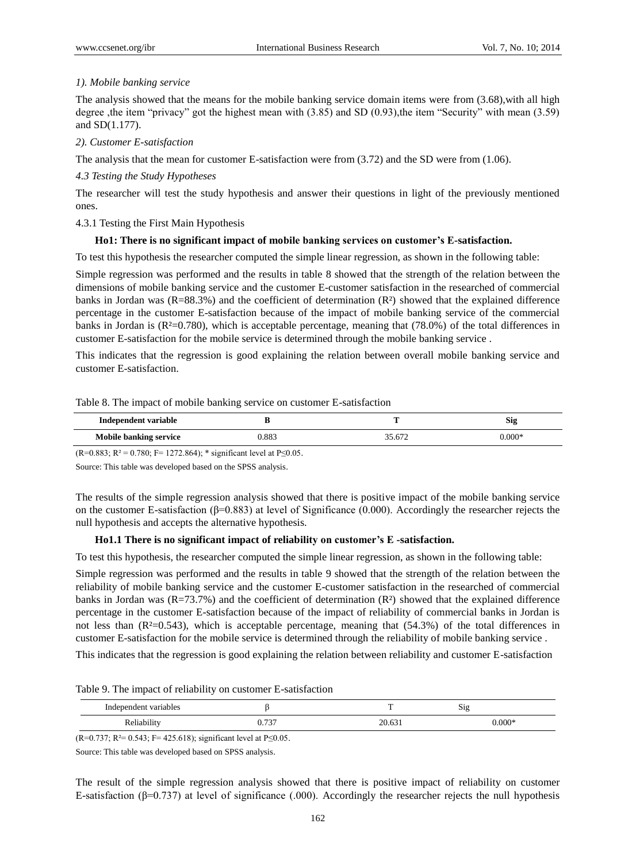# *1). Mobile banking service*

The analysis showed that the means for the mobile banking service domain items were from (3.68),with all high degree ,the item "privacy" got the highest mean with (3.85) and SD (0.93),the item "Security" with mean (3.59) and SD(1.177).

## *2). Customer E-satisfaction*

The analysis that the mean for customer E-satisfaction were from (3.72) and the SD were from (1.06).

# *4.3 Testing the Study Hypotheses*

The researcher will test the study hypothesis and answer their questions in light of the previously mentioned ones.

## 4.3.1 Testing the First Main Hypothesis

# **Ho1: There is no significant impact of mobile banking services on customer's E-satisfaction.**

To test this hypothesis the researcher computed the simple linear regression, as shown in the following table:

Simple regression was performed and the results in table 8 showed that the strength of the relation between the dimensions of mobile banking service and the customer E-customer satisfaction in the researched of commercial banks in Jordan was ( $R=88.3\%$ ) and the coefficient of determination (R  $\frac{3}{2}$  showed that the explained difference percentage in the customer E-satisfaction because of the impact of mobile banking service of the commercial banks in Jordan is  $(R \nleq 0.780)$ , which is acceptable percentage, meaning that (78.0%) of the total differences in customer E-satisfaction for the mobile service is determined through the mobile banking service .

This indicates that the regression is good explaining the relation between overall mobile banking service and customer E-satisfaction.

## Table 8. The impact of mobile banking service on customer E-satisfaction

| Independent variable          |     |                  | $\sim$<br>512 |
|-------------------------------|-----|------------------|---------------|
| <b>Mobile banking service</b> | .იი | .67 <sup>°</sup> | ነ 000*        |

(R=0.883; R<sup>2</sup> = 0.780; F= 1272.864); \* significant level at P≤0.05.

Source: This table was developed based on the SPSS analysis.

The results of the simple regression analysis showed that there is positive impact of the mobile banking service on the customer E-satisfaction (β=0.883) at level of Significance (0.000). Accordingly the researcher rejects the null hypothesis and accepts the alternative hypothesis.

# **Ho1.1 There is no significant impact of reliability on customer's E -satisfaction.**

To test this hypothesis, the researcher computed the simple linear regression, as shown in the following table:

Simple regression was performed and the results in table 9 showed that the strength of the relation between the reliability of mobile banking service and the customer E-customer satisfaction in the researched of commercial banks in Jordan was ( $R=73.7\%$ ) and the coefficient of determination (R  $\frac{3}{7}$  showed that the explained difference percentage in the customer E-satisfaction because of the impact of reliability of commercial banks in Jordan is not less than  $(R \le 0.543)$ , which is acceptable percentage, meaning that  $(54.3%)$  of the total differences in customer E-satisfaction for the mobile service is determined through the reliability of mobile banking service .

This indicates that the regression is good explaining the relation between reliability and customer E-satisfaction

|  |  |  |  | Table 9. The impact of reliability on customer E-satisfaction |
|--|--|--|--|---------------------------------------------------------------|
|--|--|--|--|---------------------------------------------------------------|

| Independent variables    |                          |        | 512      |
|--------------------------|--------------------------|--------|----------|
| <i><b>Reliabilit</b></i> | $\overline{\phantom{a}}$ | 20 U C | $0.000*$ |

(R=0.737; R<sup>2</sup>= 0.543; F= 425.618); significant level at P≤0.05.

Source: This table was developed based on SPSS analysis.

The result of the simple regression analysis showed that there is positive impact of reliability on customer E-satisfaction (β=0.737) at level of significance (.000). Accordingly the researcher rejects the null hypothesis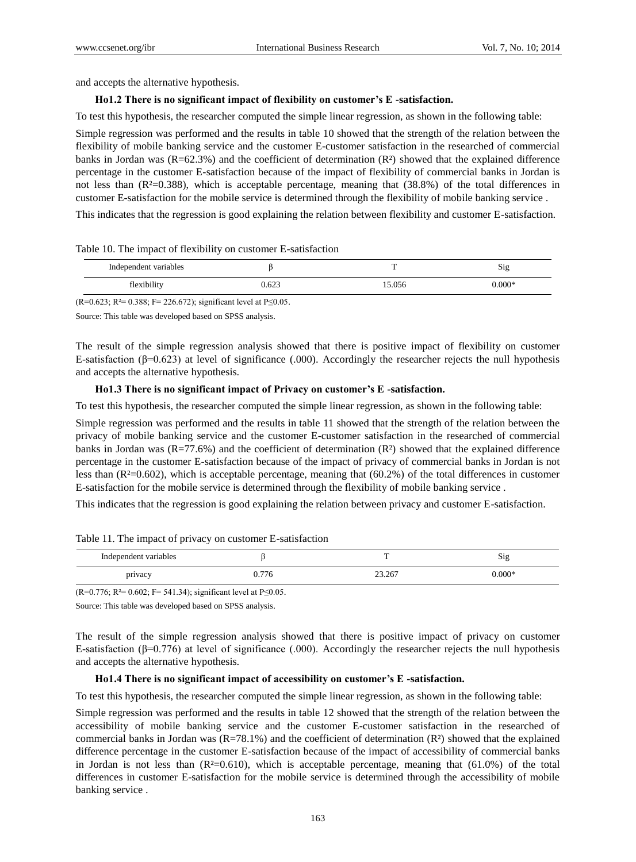and accepts the alternative hypothesis.

#### **Ho1.2 There is no significant impact of flexibility on customer's E -satisfaction.**

To test this hypothesis, the researcher computed the simple linear regression, as shown in the following table:

Simple regression was performed and the results in table 10 showed that the strength of the relation between the flexibility of mobile banking service and the customer E-customer satisfaction in the researched of commercial banks in Jordan was ( $R=62.3\%$ ) and the coefficient of determination (R  $\frac{3}{2}$  showed that the explained difference percentage in the customer E-satisfaction because of the impact of flexibility of commercial banks in Jordan is not less than  $(R \le 0.388)$ , which is acceptable percentage, meaning that  $(38.8%)$  of the total differences in customer E-satisfaction for the mobile service is determined through the flexibility of mobile banking service .

This indicates that the regression is good explaining the relation between flexibility and customer E-satisfaction.

|  |  | Table 10. The impact of flexibility on customer E-satisfaction |
|--|--|----------------------------------------------------------------|
|  |  |                                                                |

| Independent variables |       |       | $\sim\cdot$<br>S <sub>1</sub> g |
|-----------------------|-------|-------|---------------------------------|
| flexibility           | 0.623 | 5.056 | $.000*$                         |

(R=0.623; R<sup>2</sup>= 0.388; F= 226.672); significant level at P≤0.05.

Source: This table was developed based on SPSS analysis.

The result of the simple regression analysis showed that there is positive impact of flexibility on customer E-satisfaction (β=0.623) at level of significance (.000). Accordingly the researcher rejects the null hypothesis and accepts the alternative hypothesis.

## **Ho1.3 There is no significant impact of Privacy on customer's E -satisfaction.**

To test this hypothesis, the researcher computed the simple linear regression, as shown in the following table:

Simple regression was performed and the results in table 11 showed that the strength of the relation between the privacy of mobile banking service and the customer E-customer satisfaction in the researched of commercial banks in Jordan was ( $R=77.6\%$ ) and the coefficient of determination (R  $\frac{3}{7}$  showed that the explained difference percentage in the customer E-satisfaction because of the impact of privacy of commercial banks in Jordan is not less than ( $R \succeq 0.602$ ), which is acceptable percentage, meaning that (60.2%) of the total differences in customer E-satisfaction for the mobile service is determined through the flexibility of mobile banking service .

This indicates that the regression is good explaining the relation between privacy and customer E-satisfaction.

| Table 11. The impact of privacy on customer E-satisfaction |
|------------------------------------------------------------|
|------------------------------------------------------------|

| variables<br>Independent<br>$-$<br>. |                                | ᠇᠇            | S1g      |
|--------------------------------------|--------------------------------|---------------|----------|
| privacy                              | $\overline{\phantom{a}}$<br>70 | 267<br>23.20T | $0.000*$ |

(R=0.776; R<sup>2</sup>= 0.602; F= 541.34); significant level at P≤0.05.

Source: This table was developed based on SPSS analysis.

The result of the simple regression analysis showed that there is positive impact of privacy on customer E-satisfaction ( $\beta$ =0.776) at level of significance (.000). Accordingly the researcher rejects the null hypothesis and accepts the alternative hypothesis.

#### **Ho1.4 There is no significant impact of accessibility on customer's E -satisfaction.**

To test this hypothesis, the researcher computed the simple linear regression, as shown in the following table:

Simple regression was performed and the results in table 12 showed that the strength of the relation between the accessibility of mobile banking service and the customer E-customer satisfaction in the researched of commercial banks in Jordan was ( $R=78.1\%$ ) and the coefficient of determination (R $\frac{3}{2}$  showed that the explained difference percentage in the customer E-satisfaction because of the impact of accessibility of commercial banks in Jordan is not less than  $(R \ge 0.610)$ , which is acceptable percentage, meaning that (61.0%) of the total differences in customer E-satisfaction for the mobile service is determined through the accessibility of mobile banking service .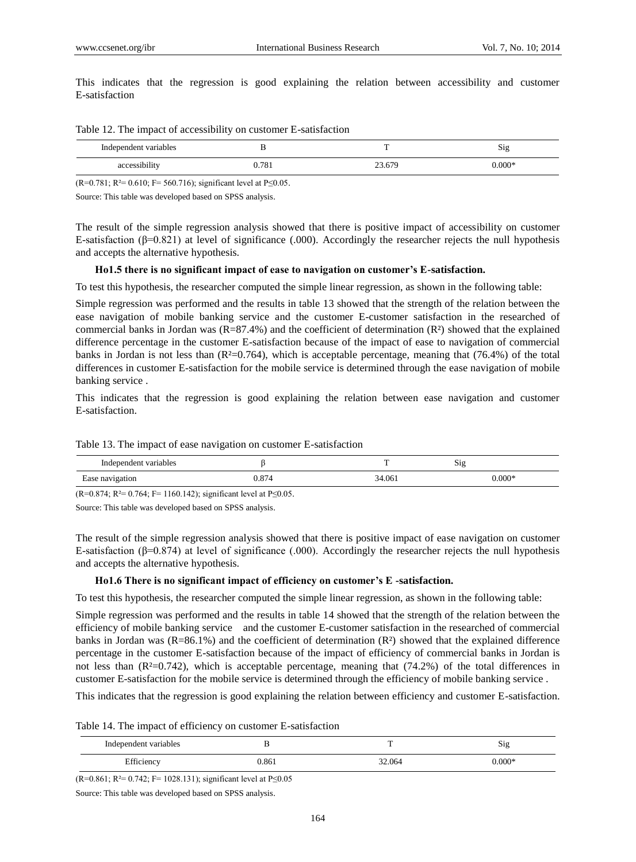This indicates that the regression is good explaining the relation between accessibility and customer E-satisfaction

|  |  |  | Table 12. The impact of accessibility on customer E-satisfaction |
|--|--|--|------------------------------------------------------------------|
|  |  |  |                                                                  |

| Independent variables |       | ᠇᠇       | -<br>S1g |
|-----------------------|-------|----------|----------|
| cessibility           | ).781 | $-3.679$ | $0.000*$ |

(R=0.781; R<sup>2</sup>= 0.610; F= 560.716); significant level at P≤0.05.

Source: This table was developed based on SPSS analysis.

The result of the simple regression analysis showed that there is positive impact of accessibility on customer E-satisfaction ( $\beta$ =0.821) at level of significance (.000). Accordingly the researcher rejects the null hypothesis and accepts the alternative hypothesis.

#### **Ho1.5 there is no significant impact of ease to navigation on customer's E-satisfaction.**

To test this hypothesis, the researcher computed the simple linear regression, as shown in the following table:

Simple regression was performed and the results in table 13 showed that the strength of the relation between the ease navigation of mobile banking service and the customer E-customer satisfaction in the researched of commercial banks in Jordan was  $(R=87.4\%)$  and the coefficient of determination  $(R<sup>3</sup>)$  showed that the explained difference percentage in the customer E-satisfaction because of the impact of ease to navigation of commercial banks in Jordan is not less than  $(R \ge 0.764)$ , which is acceptable percentage, meaning that (76.4%) of the total differences in customer E-satisfaction for the mobile service is determined through the ease navigation of mobile banking service .

This indicates that the regression is good explaining the relation between ease navigation and customer E-satisfaction.

|  |  |  |  | Table 13. The impact of ease navigation on customer E-satisfaction |  |
|--|--|--|--|--------------------------------------------------------------------|--|
|  |  |  |  |                                                                    |  |

| Independent variables<br>. |                        |       | $\mathbf{u}_k$ |  |
|----------------------------|------------------------|-------|----------------|--|
| Ease navigation<br>ಾ       | $\sim$ $\sim$<br>J.O.I | 4.061 | $0.000*$       |  |

(R=0.874; R²= 0.764; F= 1160.142); significant level at P≤0.05.

Source: This table was developed based on SPSS analysis.

The result of the simple regression analysis showed that there is positive impact of ease navigation on customer E-satisfaction ( $\beta$ =0.874) at level of significance (.000). Accordingly the researcher rejects the null hypothesis and accepts the alternative hypothesis.

#### **Ho1.6 There is no significant impact of efficiency on customer's E -satisfaction.**

To test this hypothesis, the researcher computed the simple linear regression, as shown in the following table:

Simple regression was performed and the results in table 14 showed that the strength of the relation between the efficiency of mobile banking service and the customer E-customer satisfaction in the researched of commercial banks in Jordan was  $(R=86.1\%)$  and the coefficient of determination  $(R<sub>3</sub>)$  showed that the explained difference percentage in the customer E-satisfaction because of the impact of efficiency of commercial banks in Jordan is not less than  $(R \le 0.742)$ , which is acceptable percentage, meaning that  $(74.2%)$  of the total differences in customer E-satisfaction for the mobile service is determined through the efficiency of mobile banking service .

This indicates that the regression is good explaining the relation between efficiency and customer E-satisfaction.

| Table 14. The impact of efficiency on customer E-satisfaction |  |
|---------------------------------------------------------------|--|
|---------------------------------------------------------------|--|

| Independent variables | ÷     | ш      | r.<br>S1g |
|-----------------------|-------|--------|-----------|
| Efficiency            | 0.861 | 32.064 | $0.000*$  |

(R=0.861; R²= 0.742; F= 1028.131); significant level at P≤0.05

Source: This table was developed based on SPSS analysis.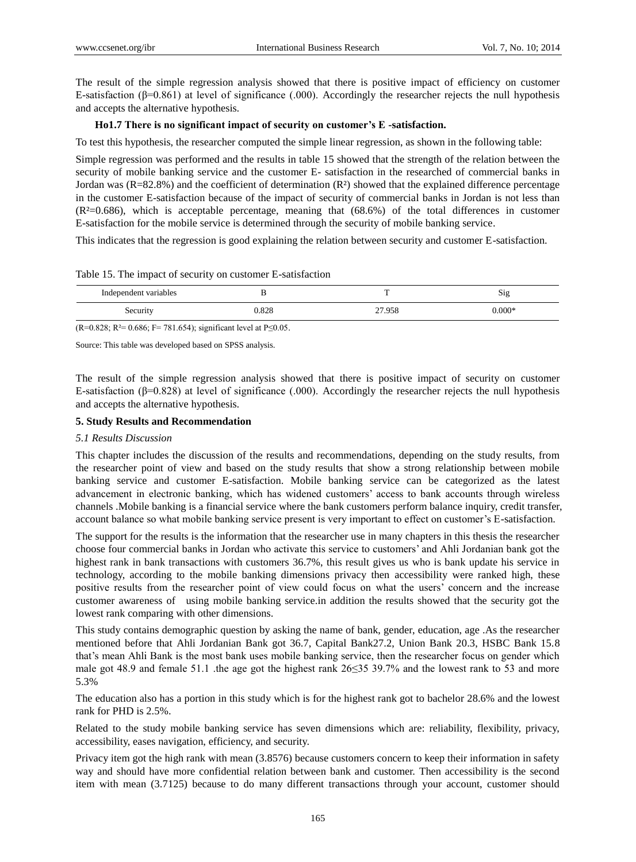The result of the simple regression analysis showed that there is positive impact of efficiency on customer E-satisfaction (β=0.861) at level of significance (.000). Accordingly the researcher rejects the null hypothesis and accepts the alternative hypothesis.

#### **Ho1.7 There is no significant impact of security on customer's E -satisfaction.**

To test this hypothesis, the researcher computed the simple linear regression, as shown in the following table:

Simple regression was performed and the results in table 15 showed that the strength of the relation between the security of mobile banking service and the customer E- satisfaction in the researched of commercial banks in Jordan was  $(R=82.8\%)$  and the coefficient of determination  $(R<sub>3</sub>)$  showed that the explained difference percentage in the customer E-satisfaction because of the impact of security of commercial banks in Jordan is not less than  $(R \ge 0.686)$ , which is acceptable percentage, meaning that  $(68.6%)$  of the total differences in customer E-satisfaction for the mobile service is determined through the security of mobile banking service.

This indicates that the regression is good explaining the relation between security and customer E-satisfaction.

| Table 15. The impact of security on customer E-satisfaction |  |
|-------------------------------------------------------------|--|
|-------------------------------------------------------------|--|

| Independent variables |       | m      | o.<br>$\mathrm{S1g}$ |
|-----------------------|-------|--------|----------------------|
| Security              | 0.828 | 27.958 | $0.000*$             |

(R=0.828; R<sup>2</sup>= 0.686; F= 781.654); significant level at P≤0.05.

Source: This table was developed based on SPSS analysis.

The result of the simple regression analysis showed that there is positive impact of security on customer E-satisfaction ( $\beta$ =0.828) at level of significance (.000). Accordingly the researcher rejects the null hypothesis and accepts the alternative hypothesis.

#### **5. Study Results and Recommendation**

#### *5.1 Results Discussion*

This chapter includes the discussion of the results and recommendations, depending on the study results, from the researcher point of view and based on the study results that show a strong relationship between mobile banking service and customer E-satisfaction. Mobile banking service can be categorized as the latest advancement in electronic banking, which has widened customers' access to bank accounts through wireless channels .Mobile banking is a financial service where the bank customers perform balance inquiry, credit transfer, account balance so what mobile banking service present is very important to effect on customer's E-satisfaction.

The support for the results is the information that the researcher use in many chapters in this thesis the researcher choose four commercial banks in Jordan who activate this service to customers' and Ahli Jordanian bank got the highest rank in bank transactions with customers 36.7%, this result gives us who is bank update his service in technology, according to the mobile banking dimensions privacy then accessibility were ranked high, these positive results from the researcher point of view could focus on what the users' concern and the increase customer awareness of using mobile banking service.in addition the results showed that the security got the lowest rank comparing with other dimensions.

This study contains demographic question by asking the name of bank, gender, education, age .As the researcher mentioned before that Ahli Jordanian Bank got 36.7, Capital Bank27.2, Union Bank 20.3, HSBC Bank 15.8 that's mean Ahli Bank is the most bank uses mobile banking service, then the researcher focus on gender which male got 48.9 and female 51.1 .the age got the highest rank 26≤35 39.7% and the lowest rank to 53 and more 5.3%

The education also has a portion in this study which is for the highest rank got to bachelor 28.6% and the lowest rank for PHD is 2.5%.

Related to the study mobile banking service has seven dimensions which are: reliability, flexibility, privacy, accessibility, eases navigation, efficiency, and security.

Privacy item got the high rank with mean (3.8576) because customers concern to keep their information in safety way and should have more confidential relation between bank and customer. Then accessibility is the second item with mean (3.7125) because to do many different transactions through your account, customer should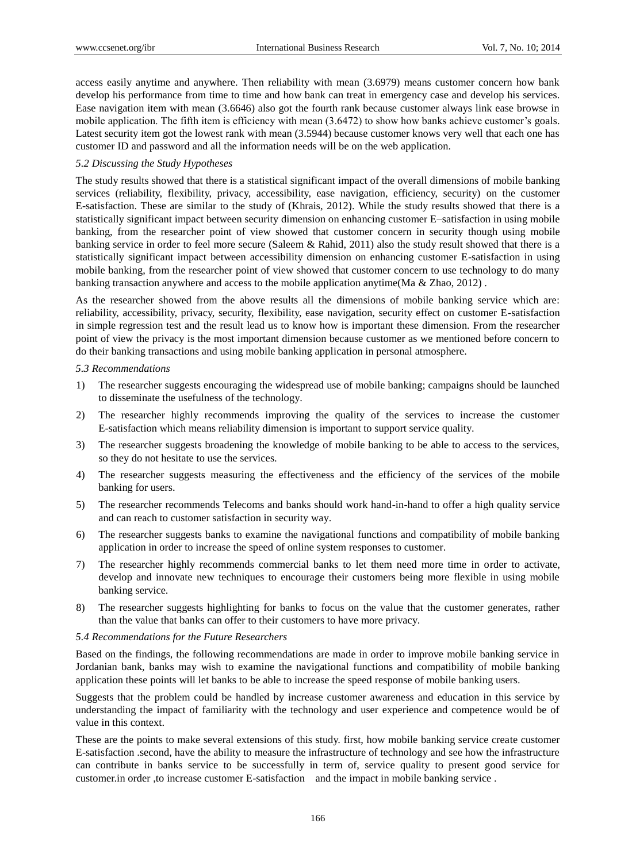access easily anytime and anywhere. Then reliability with mean (3.6979) means customer concern how bank develop his performance from time to time and how bank can treat in emergency case and develop his services. Ease navigation item with mean (3.6646) also got the fourth rank because customer always link ease browse in mobile application. The fifth item is efficiency with mean (3.6472) to show how banks achieve customer's goals. Latest security item got the lowest rank with mean (3.5944) because customer knows very well that each one has customer ID and password and all the information needs will be on the web application.

# *5.2 Discussing the Study Hypotheses*

The study results showed that there is a statistical significant impact of the overall dimensions of mobile banking services (reliability, flexibility, privacy, accessibility, ease navigation, efficiency, security) on the customer E-satisfaction. These are similar to the study of (Khrais, 2012). While the study results showed that there is a statistically significant impact between security dimension on enhancing customer E–satisfaction in using mobile banking, from the researcher point of view showed that customer concern in security though using mobile banking service in order to feel more secure (Saleem & Rahid, 2011) also the study result showed that there is a statistically significant impact between accessibility dimension on enhancing customer E-satisfaction in using mobile banking, from the researcher point of view showed that customer concern to use technology to do many banking transaction anywhere and access to the mobile application anytime(Ma & Zhao, 2012) .

As the researcher showed from the above results all the dimensions of mobile banking service which are: reliability, accessibility, privacy, security, flexibility, ease navigation, security effect on customer E-satisfaction in simple regression test and the result lead us to know how is important these dimension. From the researcher point of view the privacy is the most important dimension because customer as we mentioned before concern to do their banking transactions and using mobile banking application in personal atmosphere.

## *5.3 Recommendations*

- 1) The researcher suggests encouraging the widespread use of mobile banking; campaigns should be launched to disseminate the usefulness of the technology.
- 2) The researcher highly recommends improving the quality of the services to increase the customer E-satisfaction which means reliability dimension is important to support service quality.
- 3) The researcher suggests broadening the knowledge of mobile banking to be able to access to the services, so they do not hesitate to use the services.
- 4) The researcher suggests measuring the effectiveness and the efficiency of the services of the mobile banking for users.
- 5) The researcher recommends Telecoms and banks should work hand-in-hand to offer a high quality service and can reach to customer satisfaction in security way.
- 6) The researcher suggests banks to examine the navigational functions and compatibility of mobile banking application in order to increase the speed of online system responses to customer.
- 7) The researcher highly recommends commercial banks to let them need more time in order to activate, develop and innovate new techniques to encourage their customers being more flexible in using mobile banking service.
- 8) The researcher suggests highlighting for banks to focus on the value that the customer generates, rather than the value that banks can offer to their customers to have more privacy.

## *5.4 Recommendations for the Future Researchers*

Based on the findings, the following recommendations are made in order to improve mobile banking service in Jordanian bank, banks may wish to examine the navigational functions and compatibility of mobile banking application these points will let banks to be able to increase the speed response of mobile banking users.

Suggests that the problem could be handled by increase customer awareness and education in this service by understanding the impact of familiarity with the technology and user experience and competence would be of value in this context.

These are the points to make several extensions of this study. first, how mobile banking service create customer E-satisfaction .second, have the ability to measure the infrastructure of technology and see how the infrastructure can contribute in banks service to be successfully in term of, service quality to present good service for customer.in order ,to increase customer E-satisfaction and the impact in mobile banking service .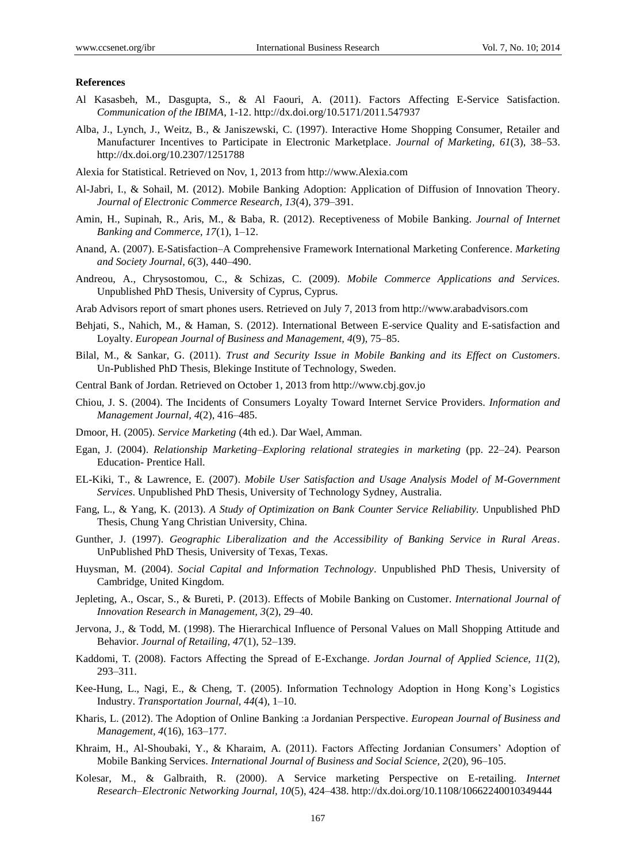#### **References**

- Al Kasasbeh, M., Dasgupta, S., & Al Faouri, A. (2011). Factors Affecting E-Service Satisfaction. *Communication of the IBIMA*, 1-12. http://dx.doi.org/10.5171/2011.547937
- Alba, J., Lynch, J., Weitz, B., & Janiszewski, C. (1997). Interactive Home Shopping Consumer, Retailer and Manufacturer Incentives to Participate in Electronic Marketplace. *Journal of Marketing, 61*(3), 38–53. http://dx.doi.org/10.2307/1251788
- Alexia for Statistical. Retrieved on Nov, 1, 2013 from http://www.Alexia.com
- Al-Jabri, I., & Sohail, M. (2012). Mobile Banking Adoption: Application of Diffusion of Innovation Theory. *Journal of Electronic Commerce Research, 13*(4), 379–391.
- Amin, H., Supinah, R., Aris, M., & Baba, R. (2012). Receptiveness of Mobile Banking. *Journal of Internet Banking and Commerce, 17*(1), 1–12.
- Anand, A. (2007). E-Satisfaction–A Comprehensive Framework International Marketing Conference. *Marketing and Society Journal, 6*(3), 440–490.
- Andreou, A., Chrysostomou, C., & Schizas, C. (2009). *Mobile Commerce Applications and Services.* Unpublished PhD Thesis, University of Cyprus, Cyprus.
- Arab Advisors report of smart phones users. Retrieved on July 7, 2013 from http://www.arabadvisors.com
- Behjati, S., Nahich, M., & Haman, S. (2012). International Between E-service Quality and E-satisfaction and Loyalty. *European Journal of Business and Management, 4*(9), 75–85.
- Bilal, M., & Sankar, G. (2011). *Trust and Security Issue in Mobile Banking and its Effect on Customers*. Un-Published PhD Thesis, Blekinge Institute of Technology, Sweden.
- Central Bank of Jordan. Retrieved on October 1, 2013 from http://www.cbj.gov.jo
- Chiou, J. S. (2004). The Incidents of Consumers Loyalty Toward Internet Service Providers. *Information and Management Journal, 4*(2), 416–485.
- Dmoor, H. (2005). *Service Marketing* (4th ed.). Dar Wael, Amman.
- Egan, J. (2004). *Relationship Marketing–Exploring relational strategies in marketing* (pp. 22–24). Pearson Education- Prentice Hall.
- EL-Kiki, T., & Lawrence, E. (2007). *Mobile User Satisfaction and Usage Analysis Model of M-Government Services*. Unpublished PhD Thesis, University of Technology Sydney, Australia.
- Fang, L., & Yang, K. (2013). *A Study of Optimization on Bank Counter Service Reliability.* Unpublished PhD Thesis, Chung Yang Christian University, China.
- Gunther, J. (1997). *Geographic Liberalization and the Accessibility of Banking Service in Rural Areas*. UnPublished PhD Thesis, University of Texas, Texas.
- Huysman, M. (2004). *Social Capital and Information Technology*. Unpublished PhD Thesis, University of Cambridge, United Kingdom.
- Jepleting, A., Oscar, S., & Bureti, P. (2013). Effects of Mobile Banking on Customer. *International Journal of Innovation Research in Management, 3*(2), 29–40.
- Jervona, J., & Todd, M. (1998). The Hierarchical Influence of Personal Values on Mall Shopping Attitude and Behavior. *Journal of Retailing, 47*(1), 52–139.
- Kaddomi, T. (2008). Factors Affecting the Spread of E-Exchange. *Jordan Journal of Applied Science, 11*(2), 293–311.
- Kee-Hung, L., Nagi, E., & Cheng, T. (2005). Information Technology Adoption in Hong Kong's Logistics Industry. *Transportation Journal, 44*(4), 1–10.
- Kharis, L. (2012). The Adoption of Online Banking :a Jordanian Perspective. *European Journal of Business and Management, 4*(16), 163–177.
- Khraim, H., Al-Shoubaki, Y., & Kharaim, A. (2011). Factors Affecting Jordanian Consumers' Adoption of Mobile Banking Services. *International Journal of Business and Social Science, 2*(20), 96–105.
- Kolesar, M., & Galbraith, R. (2000). A Service marketing Perspective on E-retailing. *Internet Research–Electronic Networking Journal, 10*(5), 424–438. http://dx.doi.org/10.1108/10662240010349444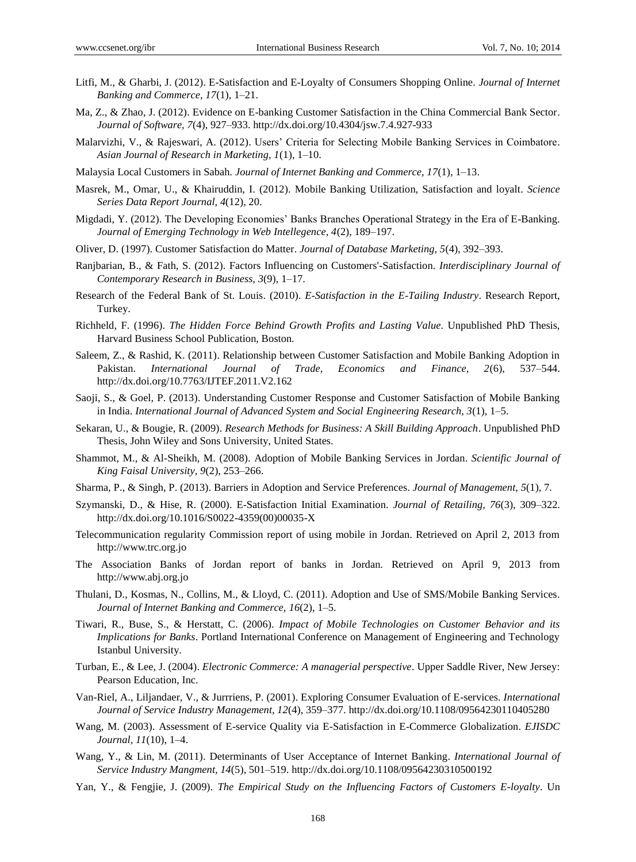- Litfi, M., & Gharbi, J. (2012). E-Satisfaction and E-Loyalty of Consumers Shopping Online. *Journal of Internet Banking and Commerce, 17*(1), 1–21.
- Ma, Z., & Zhao, J. (2012). Evidence on E-banking Customer Satisfaction in the China Commercial Bank Sector. *Journal of Software, 7*(4), 927–933. http://dx.doi.org/10.4304/jsw.7.4.927-933
- Malarvizhi, V., & Rajeswari, A. (2012). Users' Criteria for Selecting Mobile Banking Services in Coimbatore. *Asian Journal of Research in Marketing, 1*(1), 1–10.
- Malaysia Local Customers in Sabah*. Journal of Internet Banking and Commerce, 17*(1), 1–13.
- Masrek, M., Omar, U., & Khairuddin, I. (2012). Mobile Banking Utilization, Satisfaction and loyalt. *Science Series Data Report Journal, 4*(12), 20.
- Migdadi, Y. (2012). The Developing Economies' Banks Branches Operational Strategy in the Era of E-Banking. *Journal of Emerging Technology in Web Intellegence, 4*(2), 189–197.
- Oliver, D. (1997). Customer Satisfaction do Matter. *Journal of Database Marketing, 5*(4), 392–393.
- Ranjbarian, B., & Fath, S. (2012). Factors Influencing on Customers'-Satisfaction. *Interdisciplinary Journal of Contemporary Research in Business, 3*(9), 1–17.
- Research of the Federal Bank of St. Louis. (2010). *E-Satisfaction in the E-Tailing Industry*. Research Report, Turkey.
- Richheld, F. (1996). *The Hidden Force Behind Growth Profits and Lasting Value*. Unpublished PhD Thesis, Harvard Business School Publication, Boston.
- Saleem, Z., & Rashid, K. (2011). Relationship between Customer Satisfaction and Mobile Banking Adoption in Pakistan. *International Journal of Trade, Economics and Finance, 2*(6), 537–544. http://dx.doi.org/10.7763/IJTEF.2011.V2.162
- Saoji, S., & Goel, P. (2013). Understanding Customer Response and Customer Satisfaction of Mobile Banking in India. *International Journal of Advanced System and Social Engineering Research, 3*(1), 1–5.
- Sekaran, U., & Bougie, R. (2009). *Research Methods for Business: A Skill Building Approach*. Unpublished PhD Thesis, John Wiley and Sons University, United States.
- Shammot, M., & Al-Sheikh, M. (2008). Adoption of Mobile Banking Services in Jordan. *Scientific Journal of King Faisal University, 9*(2), 253–266.
- Sharma, P., & Singh, P. (2013). Barriers in Adoption and Service Preferences. *Journal of Management, 5*(1), 7.
- Szymanski, D., & Hise, R. (2000). E-Satisfaction Initial Examination. *Journal of Retailing, 76*(3), 309–322. http://dx.doi.org/10.1016/S0022-4359(00)00035-X
- Telecommunication regularity Commission report of using mobile in Jordan. Retrieved on April 2, 2013 from http://www.trc.org.jo
- The Association Banks of Jordan report of banks in Jordan. Retrieved on April 9, 2013 from http://www.abj.org.jo
- Thulani, D., Kosmas, N., Collins, M., & Lloyd, C. (2011). Adoption and Use of SMS/Mobile Banking Services. *Journal of Internet Banking and Commerce, 16*(2), 1–5.
- Tiwari, R., Buse, S., & Herstatt, C. (2006). *Impact of Mobile Technologies on Customer Behavior and its Implications for Banks*. Portland International Conference on Management of Engineering and Technology Istanbul University.
- Turban, E., & Lee, J. (2004). *Electronic Commerce: A managerial perspective*. Upper Saddle River, New Jersey: Pearson Education, Inc.
- Van-Riel, A., Liljandaer, V., & Jurrriens, P. (2001). Exploring Consumer Evaluation of E-services. *International Journal of Service Industry Management, 12*(4), 359–377. http://dx.doi.org/10.1108/09564230110405280
- Wang, M. (2003). Assessment of E-service Quality via E-Satisfaction in E-Commerce Globalization. *EJISDC Journal, 11*(10), 1–4.
- Wang, Y., & Lin, M. (2011). Determinants of User Acceptance of Internet Banking. *International Journal of Service Industry Mangment, 14*(5), 501–519. http://dx.doi.org/10.1108/09564230310500192
- Yan, Y., & Fengjie, J. (2009). *The Empirical Study on the Influencing Factors of Customers E-loyalty*. Un